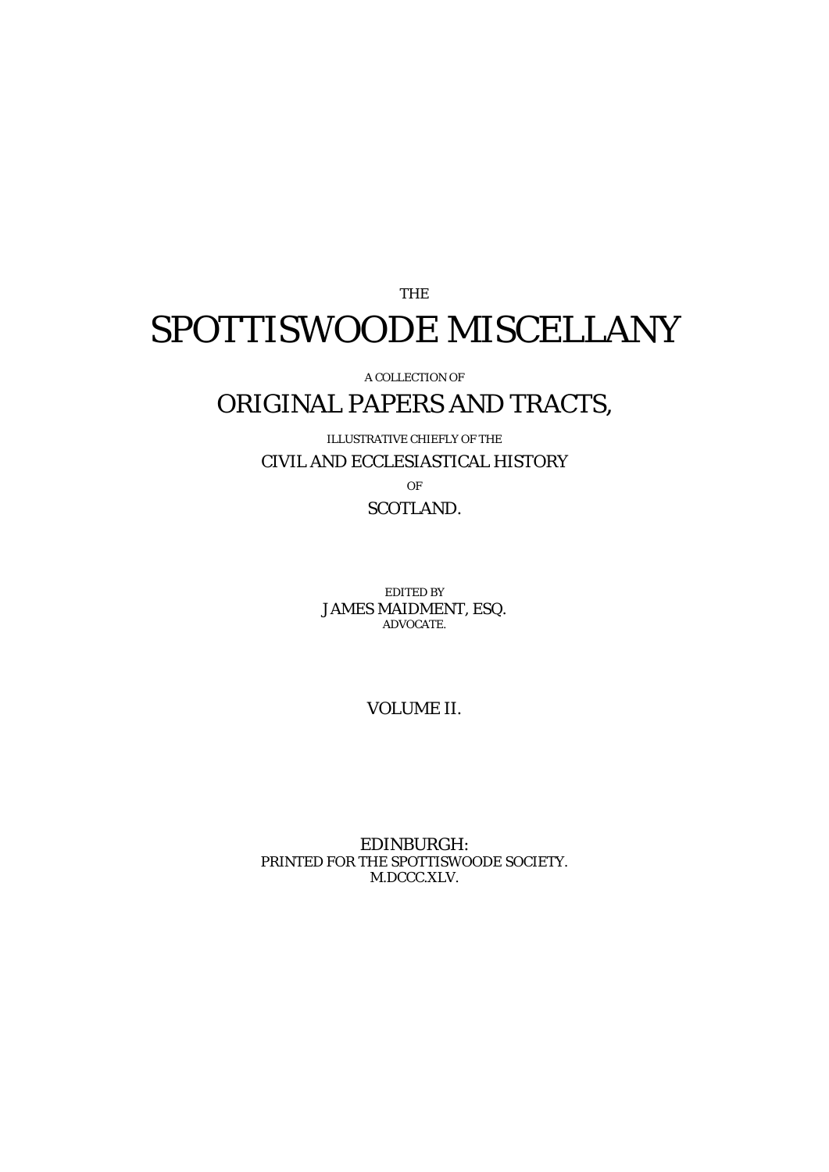# THE SPOTTISWOODE MISCELLANY

A COLLECTION OF

## ORIGINAL PAPERS AND TRACTS,

ILLUSTRATIVE CHIEFLY OF THE CIVIL AND ECCLESIASTICAL HISTORY

OF SCOTLAND.

EDITED BY JAMES MAIDMENT, ESQ. ADVOCATE.

VOLUME II.

EDINBURGH: PRINTED FOR THE SPOTTISWOODE SOCIETY. M.DCCC.XLV.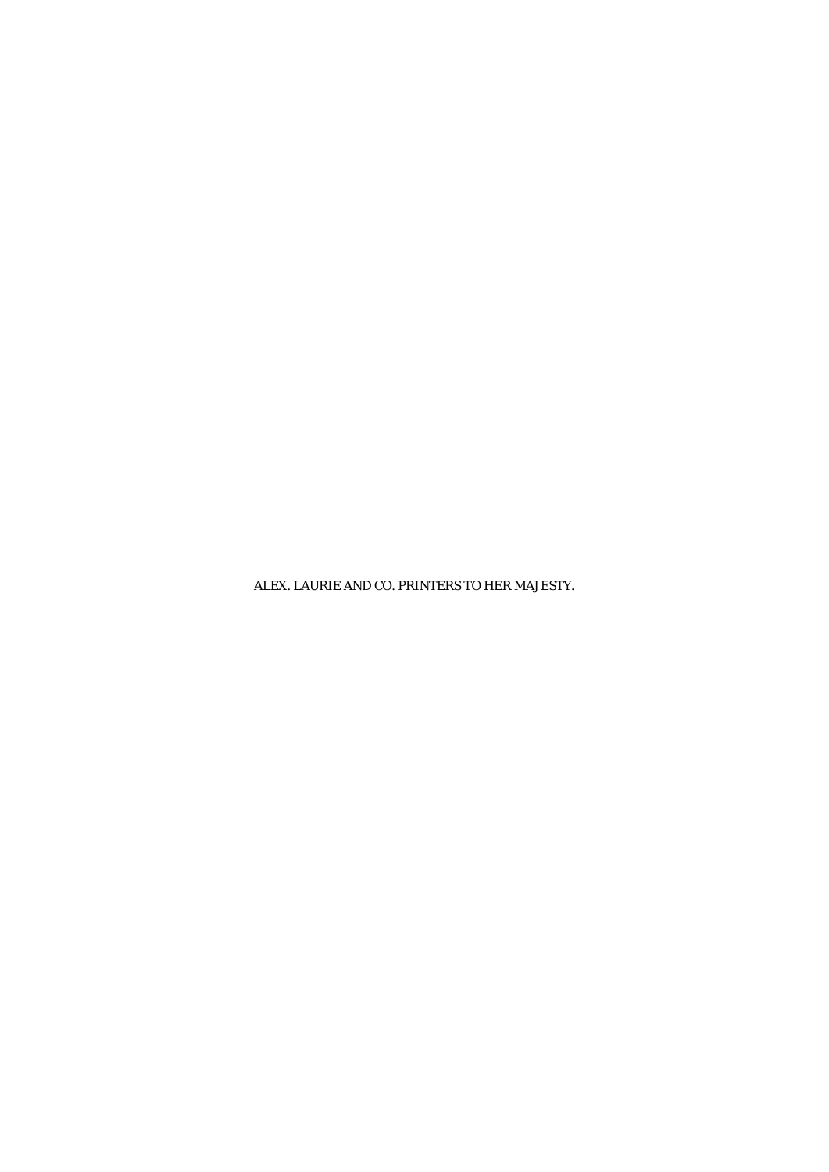ALEX. LAURIE AND CO. PRINTERS TO HER MAJESTY.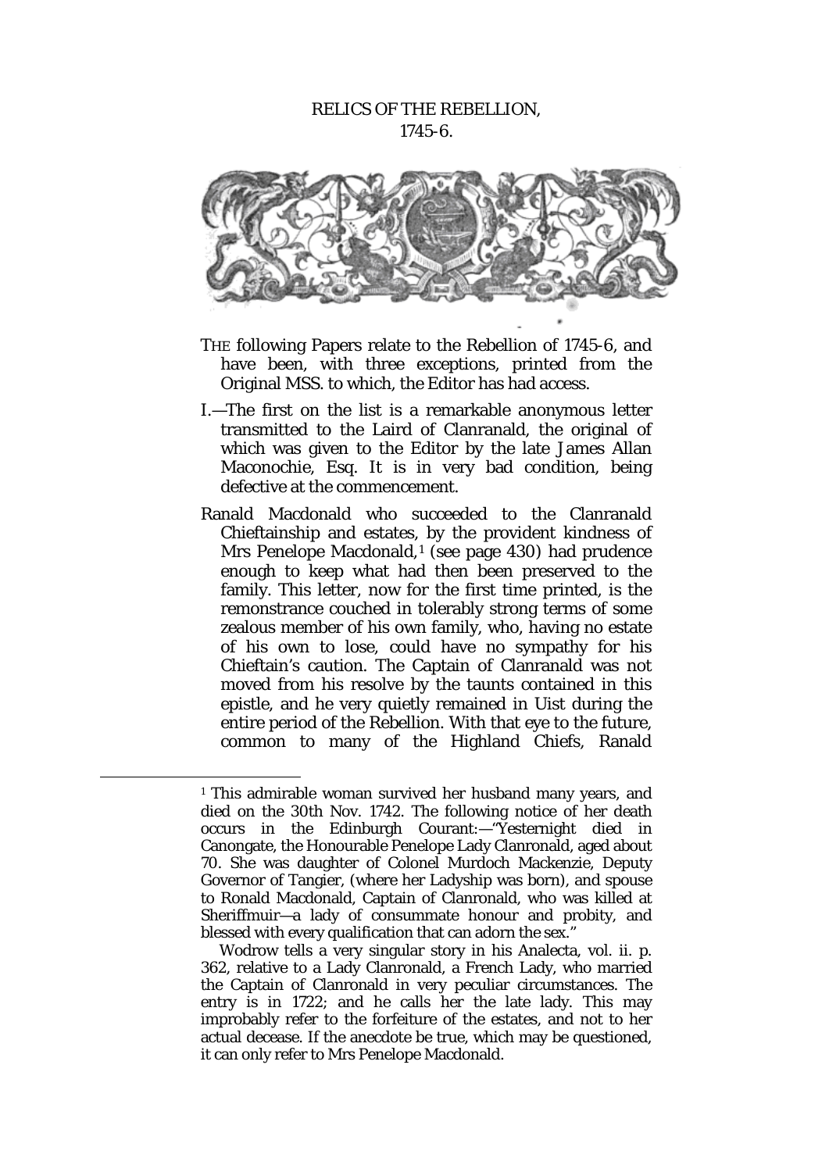## RELICS OF THE REBELLION, 1745-6.



- THE following Papers relate to the Rebellion of 1745-6, and have been, with three exceptions, printed from the Original MSS. to which, the Editor has had access.
- I.—The first on the list is a remarkable anonymous letter transmitted to the Laird of Clanranald, the original of which was given to the Editor by the late James Allan Maconochie, Esq. It is in very bad condition, being defective at the commencement.
- Ranald Macdonald who succeeded to the Clanranald Chieftainship and estates, by the provident kindness of Mrs Penelope Macdonald,<sup>[1](#page-2-0)</sup> (see page 430) had prudence enough to keep what had then been preserved to the family. This letter, now for the first time printed, is the remonstrance couched in tolerably strong terms of some zealous member of his own family, who, having no estate of his own to lose, could have no sympathy for his Chieftain's caution. The Captain of Clanranald was not moved from his resolve by the taunts contained in this epistle, and he very quietly remained in Uist during the entire period of the Rebellion. With that eye to the future, common to many of the Highland Chiefs, Ranald

<span id="page-2-0"></span><sup>&</sup>lt;sup>1</sup> This admirable woman survived her husband many years, and died on the 30th Nov. 1742. The following notice of her death occurs in the Edinburgh Courant:—"Yesternight died in Canongate, the Honourable Penelope Lady Clanronald, aged about 70. She was daughter of Colonel Murdoch Mackenzie, Deputy Governor of Tangier, (where her Ladyship was born), and spouse to Ronald Macdonald, Captain of Clanronald, who was killed at Sheriffmuir—a lady of consummate honour and probity, and blessed with every qualification that can adorn the sex."

Wodrow tells a very singular story in his Analecta, vol. ii. p. 362, relative to a Lady Clanronald, a French Lady, who married the Captain of Clanronald in very peculiar circumstances. The entry is in 1722; and he calls her the late lady. This may improbably refer to the forfeiture of the estates, and not to her actual decease. If the anecdote be true, which may be questioned, it can only refer to Mrs Penelope Macdonald.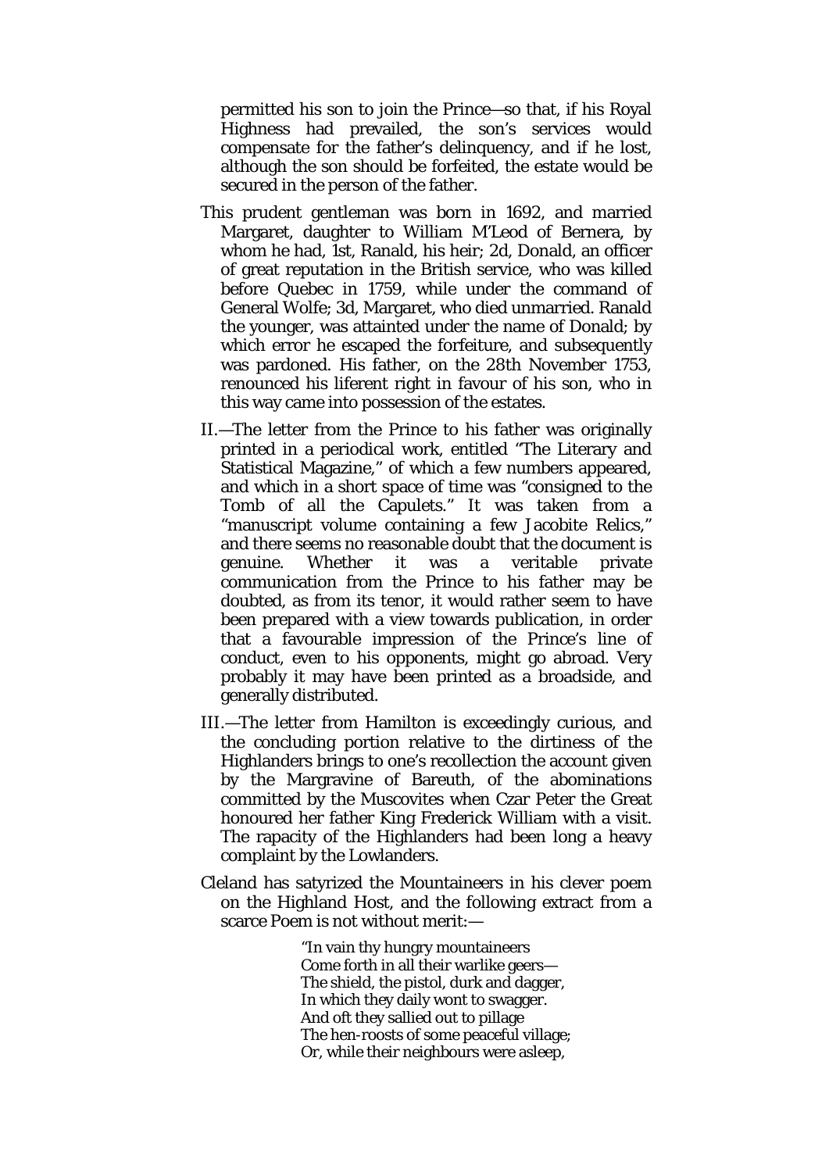permitted his son to join the Prince—so that, if his Royal Highness had prevailed, the son's services would compensate for the father's delinquency, and if he lost, although the son should be forfeited, the estate would be secured in the person of the father.

- This prudent gentleman was born in 1692, and married Margaret, daughter to William M'Leod of Bernera, by whom he had, 1st, Ranald, his heir; 2d, Donald, an officer of great reputation in the British service, who was killed before Quebec in 1759, while under the command of General Wolfe; 3d, Margaret, who died unmarried. Ranald the younger, was attainted under the name of Donald; by which error he escaped the forfeiture, and subsequently was pardoned. His father, on the 28th November 1753, renounced his liferent right in favour of his son, who in this way came into possession of the estates.
- II.—The letter from the Prince to his father was originally printed in a periodical work, entitled "The Literary and Statistical Magazine," of which a few numbers appeared, and which in a short space of time was *"*consigned to the Tomb of all the Capulets." It was taken from a "manuscript volume containing a few Jacobite Relics," and there seems no reasonable doubt that the document is genuine. Whether it was a veritable private communication from the Prince to his father may be doubted, as from its tenor, it would rather seem to have been prepared with a view towards publication, in order that a favourable impression of the Prince's line of conduct, even to his opponents, might go abroad. Very probably it may have been printed as a broadside, and generally distributed.
- III.—The letter from Hamilton is exceedingly curious, and the concluding portion relative to the dirtiness of the Highlanders brings to one's recollection the account given by the Margravine of Bareuth, of the abominations committed by the Muscovites when Czar Peter the Great honoured her father King Frederick William with a visit. The rapacity of the Highlanders had been long a heavy complaint by the Lowlanders.
- Cleland has satyrized the Mountaineers in his clever poem on the Highland Host, and the following extract from a scarce Poem is not without merit:—

"In vain thy hungry mountaineers Come forth in all their warlike geers— The shield, the pistol, durk and dagger, In which they daily wont to swagger. And oft they sallied out to pillage The hen-roosts of some peaceful village; Or, while their neighbours were asleep,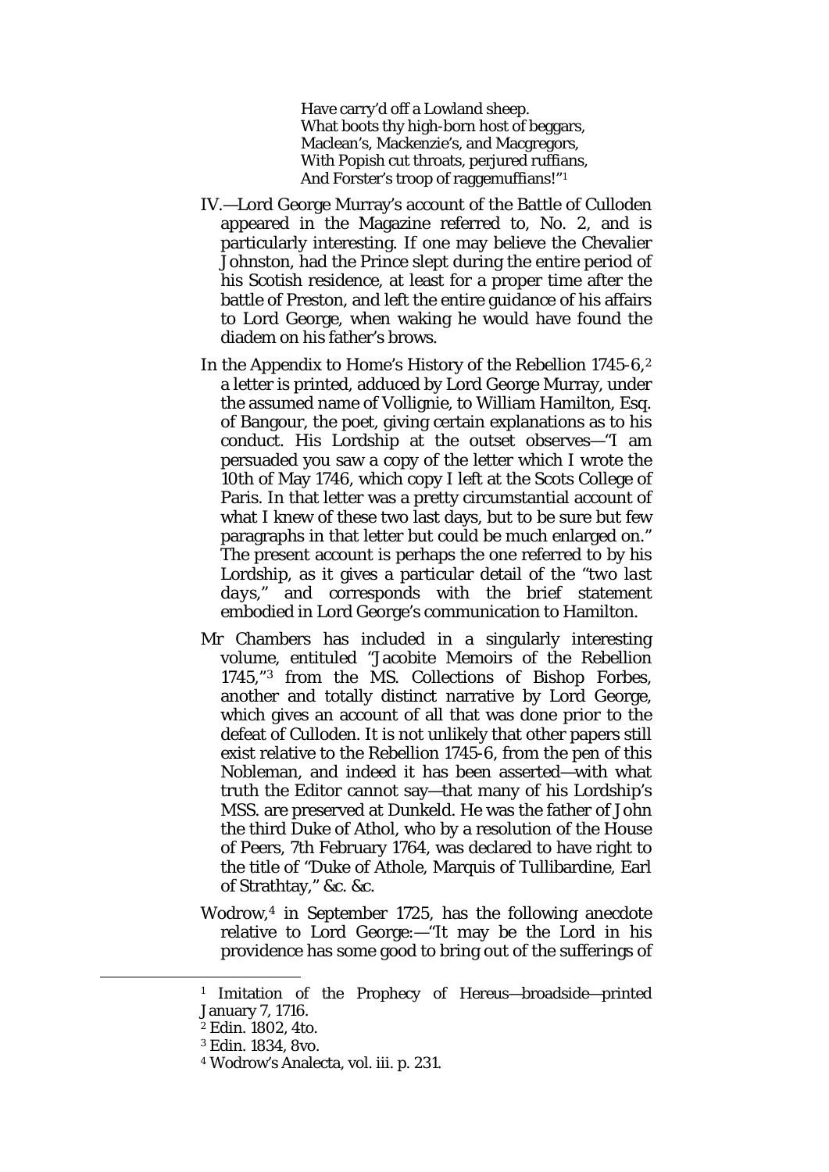Have carry'd off a Lowland sheep. What boots thy high-born host of beggars, Maclean's, Mackenzie's, and Macgregors, With Popish cut throats, perjured ruffians, And Forster's troop of raggemuffians!"[1](#page-4-0)

- IV.—Lord George Murray's account of the Battle of Culloden appeared in the Magazine referred to, No. 2, and is particularly interesting. If one may believe the Chevalier Johnston, had the Prince slept during the entire period of his Scotish residence, at least for a proper time after the battle of Preston, and left the entire guidance of his affairs to Lord George, when waking he would have found the diadem on his father's brows.
- In the Appendix to Home's History of the Rebellion 1745-6,<sup>[2](#page-4-1)</sup> a letter is printed, adduced by Lord George Murray, under the assumed name of Vollignie, to William Hamilton, Esq. of Bangour, the poet, giving certain explanations as to his conduct. His Lordship at the outset observes—"I am persuaded you saw a copy of the letter which I wrote the 10th of May 1746, which copy I left at the Scots College of Paris. In that letter was a pretty circumstantial account of what I knew of these two last days, but to be sure but few paragraphs in that letter but could be much enlarged on." The present account is perhaps the one referred to by his Lordship, as it gives a particular detail of the "*two last days,"* and corresponds with the brief statement embodied in Lord George's communication to Hamilton.
- Mr Chambers has included in a singularly interesting volume, entituled "Jacobite Memoirs of the Rebellion 1745,"[3](#page-4-2) from the MS. Collections of Bishop Forbes, another and totally distinct narrative by Lord George, which gives an account of all that was done prior to the defeat of Culloden. It is not unlikely that other papers still exist relative to the Rebellion 1745-6, from the pen of this Nobleman, and indeed it has been asserted—with what truth the Editor cannot say—that many of his Lordship's MSS. are preserved at Dunkeld. He was the father of John the third Duke of Athol, who by a resolution of the House of Peers, 7th February 1764, was declared to have right to the title of "Duke of Athole, Marquis of Tullibardine, Earl of Strathtay," &c. &c.
- Wodrow,[4](#page-4-3) in September 1725, has the following anecdote relative to Lord George:—"It may be the Lord in his providence has some good to bring out of the sufferings of

<span id="page-4-3"></span><span id="page-4-2"></span><span id="page-4-1"></span><span id="page-4-0"></span>**.** 

<sup>1</sup> Imitation of the Prophecy of Hereus—broadside—printed January 7, 1716.

<sup>2</sup> Edin. 1802, 4to.

<sup>3</sup> Edin. 1834, 8vo.

<sup>4</sup> Wodrow's Analecta, vol. iii. p. 231.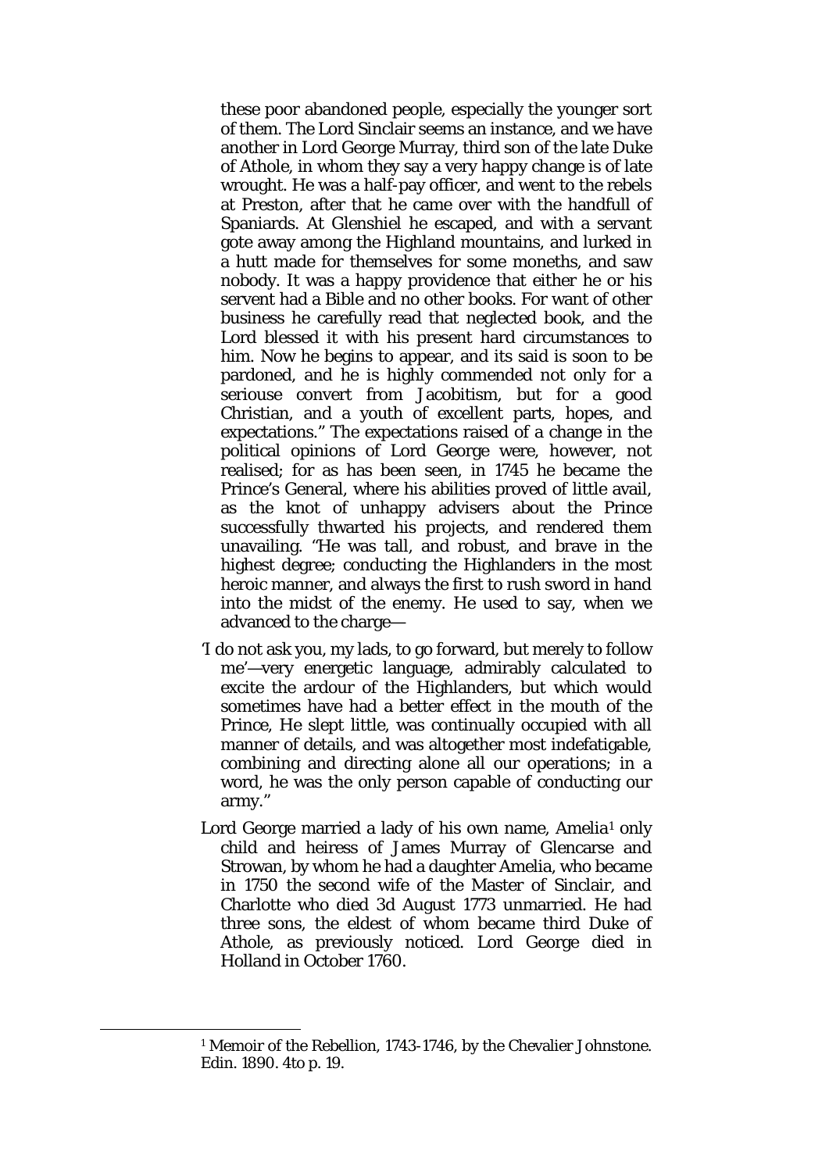these poor abandoned people, especially the younger sort of them. The Lord Sinclair seems an instance, and we have another in Lord George Murray, third son of the late Duke of Athole, in whom they say a very happy change is of late wrought. He was a half-pay officer, and went to the rebels at Preston, after that he came over with the handfull of Spaniards. At Glenshiel he escaped, and with a servant gote away among the Highland mountains, and lurked in a hutt made for themselves for some moneths, and saw nobody. It was a happy providence that either he or his servent had a Bible and no other books. For want of other business he carefully read that neglected book, and the Lord blessed it with his present hard circumstances to him. Now he begins to appear, and its said is soon to be pardoned, and he is highly commended not only for a seriouse convert from Jacobitism, but for a good Christian, and a youth of excellent parts, hopes, and expectations." The expectations raised of a change in the political opinions of Lord George were, however, not realised; for as has been seen, in 1745 he became the Prince's General, where his abilities proved of little avail, as the knot of unhappy advisers about the Prince successfully thwarted his projects, and rendered them unavailing. *"*He was tall, and robust, and brave in the highest degree; conducting the Highlanders in the most heroic manner, and always the first to rush sword in hand into the midst of the enemy. He used to say, when we advanced to the charge—

- 'I do not ask you, my lads, to go forward, but merely to follow me'—very energetic language, admirably calculated to excite the ardour of the Highlanders, but which would sometimes have had a better effect in the mouth of the Prince, He slept little, was continually occupied with all manner of details, and was altogether most indefatigable, combining and directing alone all our operations; in a word, he was the only person capable of conducting our army."
- Lord George married a lady of his own name, Amelia<sup>[1](#page-5-0)</sup> only child and heiress of James Murray of Glencarse and Strowan, by whom he had a daughter Amelia, who became in 1750 the second wife of the Master of Sinclair, and Charlotte who died 3d August 1773 unmarried. He had three sons, the eldest of whom became third Duke of Athole, as previously noticed. Lord George died in Holland in October 1760.

<span id="page-5-0"></span><sup>1</sup> Memoir of the Rebellion, 1743-1746, by the Chevalier Johnstone. Edin. 1890. 4to p. 19.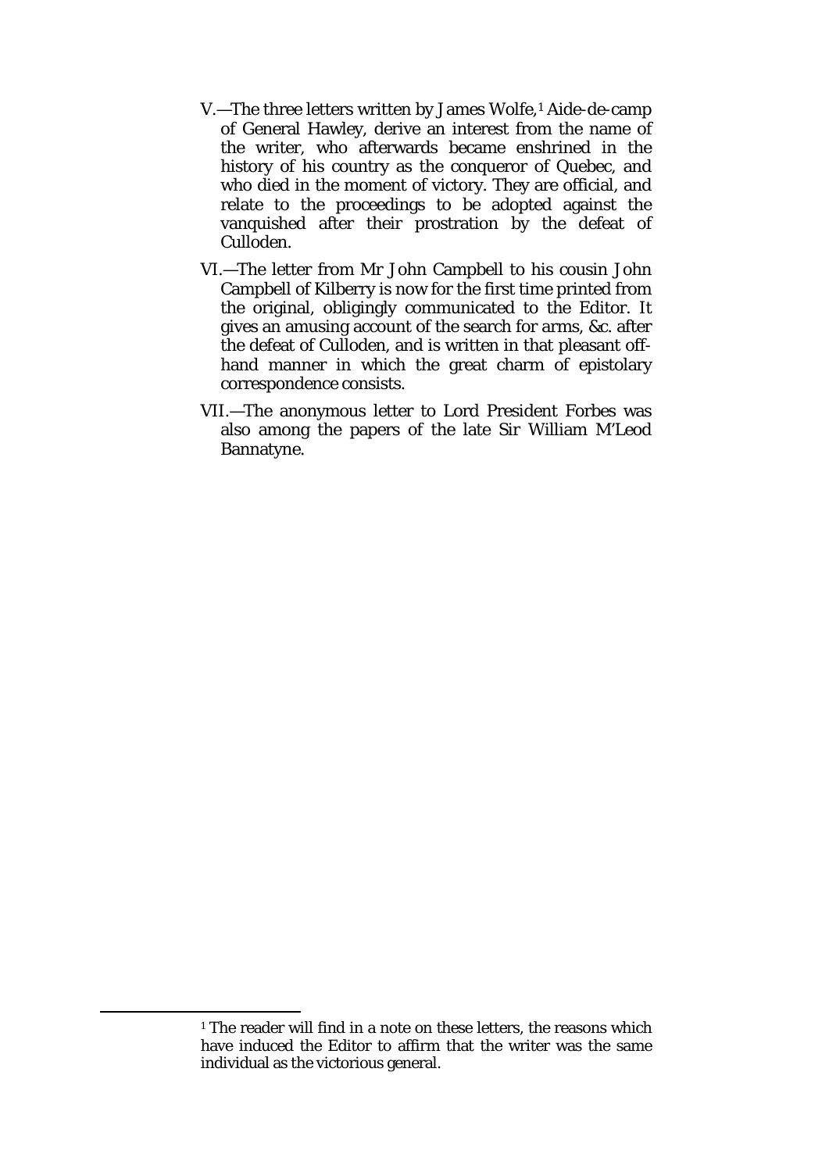- V.—The three letters written by James Wolfe,[1](#page-6-0) Aide-de-camp of General Hawley, derive an interest from the name of the writer, who afterwards became enshrined in the history of his country as the conqueror of Quebec, and who died in the moment of victory. They are official, and relate to the proceedings to be adopted against the vanquished after their prostration by the defeat of Culloden.
- VI.—The letter from Mr John Campbell to his cousin John Campbell of Kilberry is now for the first time printed from the original, obligingly communicated to the Editor. It gives an amusing account of the search for arms, &c. after the defeat of Culloden, and is written in that pleasant offhand manner in which the great charm of epistolary correspondence consists.
- VII.—The anonymous letter to Lord President Forbes was also among the papers of the late Sir William M'Leod Bannatyne.

<span id="page-6-0"></span>**.** 

 $1$  The reader will find in a note on these letters, the reasons which have induced the Editor to affirm that the writer was the same individual as the victorious general.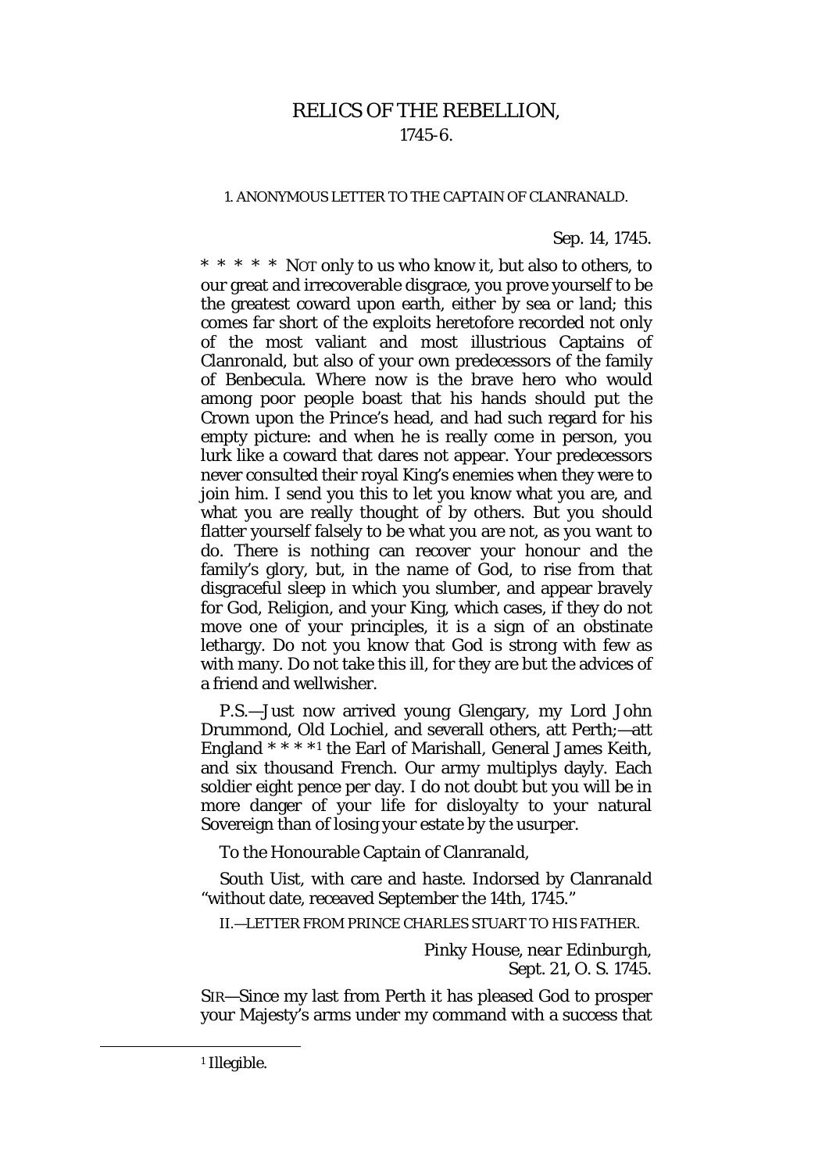## RELICS OF THE REBELLION, 1745-6.

#### 1. ANONYMOUS LETTER TO THE CAPTAIN OF CLANRANALD.

#### *Sep.* 14, 1745.

\* \* \* \* \* NOT only to us who know it, but also to others, to our great and irrecoverable disgrace, you prove yourself to be the greatest coward upon earth, either by sea or land; this comes far short of the exploits heretofore recorded not only of the most valiant and most illustrious Captains of Clanronald, but also of your own predecessors of the family of Benbecula. Where now is the brave hero who would among poor people boast that his hands should put the Crown upon the Prince's head, and had such regard for his empty picture: and when he is really come in person, you lurk like a coward that dares not appear. Your predecessors never consulted their royal King's enemies when they were to join him. I send you this to let you know what you are, and what you are really thought of by others. But you should flatter yourself falsely to be what you are not, as you want to do. There is nothing can recover your honour and the family's glory, but, in the name of God, to rise from that disgraceful sleep in which you slumber, and appear bravely for God, Religion, and your King, which cases, if they do not move one of your principles, it is a sign of an obstinate lethargy. Do not you know that God is strong with few as with many. Do not take this ill, for they are but the advices of a friend and wellwisher.

P.S.—Just now arrived young Glengary, my Lord John Drummond, Old Lochiel, and severall others, att Perth;—att England \* \* \* \*[1](#page-7-0) the Earl of Marishall, General James Keith, and six thousand French. Our army multiplys dayly. Each soldier eight pence per day. I do not doubt but you will be in more danger of your life for disloyalty to your natural Sovereign than of losing your estate by the usurper.

To the Honourable Captain of Clanranald,

South Uist, with care and haste. Indorsed by Clanranald "without date, receaved September the 14th, 1745."

II.—LETTER FROM PRINCE CHARLES STUART TO HIS FATHER.

*Pinky House, near Edinburgh, Sept.* 21, *O. S.* 1745.

SIR—Since my last from Perth it has pleased God to prosper your Majesty's arms under my command with a success that

<span id="page-7-0"></span><sup>1</sup> Illegible.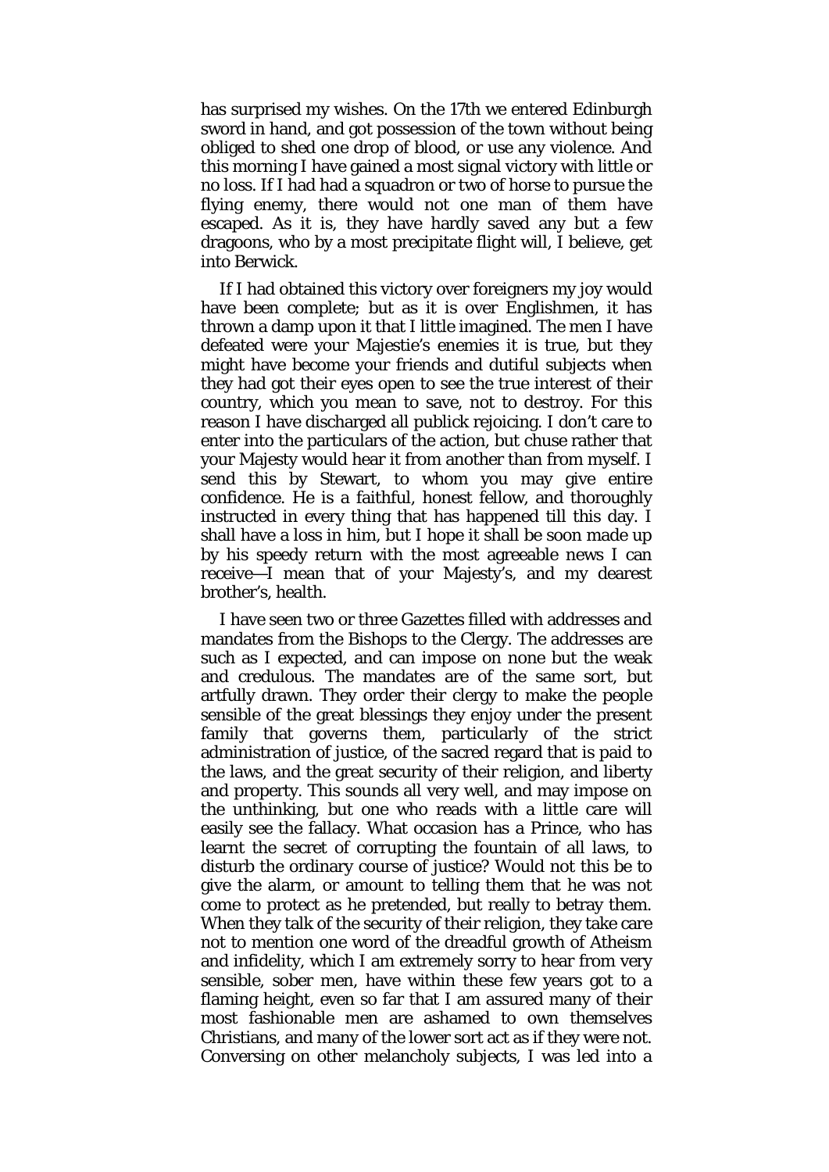has surprised my wishes. On the 17th we entered Edinburgh sword in hand, and got possession of the town without being obliged to shed one drop of blood, or use any violence. And this morning I have gained a most signal victory with little or no loss. If I had had a squadron or two of horse to pursue the flying enemy, there would not one man of them have escaped. As it is, they have hardly saved any but a few dragoons, who by a most precipitate flight will, I believe, get into Berwick.

If I had obtained this victory over foreigners my joy would have been complete; but as it is over Englishmen, it has thrown a damp upon it that I little imagined. The men I have defeated were your Majestie's enemies it is true, but they might have become your friends and dutiful subjects when they had got their eyes open to see the true interest of their country, which you mean to save, not to destroy. For this reason I have discharged all publick rejoicing. I don't care to enter into the particulars of the action, but chuse rather that your Majesty would hear it from another than from myself. I send this by Stewart, to whom you may give entire confidence. He is a faithful, honest fellow, and thoroughly instructed in every thing that has happened till this day. I shall have a loss in him, but I hope it shall be soon made up by his speedy return with the most agreeable news I can receive—I mean that of your Majesty's, and my dearest brother's, health.

I have seen two or three Gazettes filled with addresses and mandates from the Bishops to the Clergy. The addresses are such as I expected, and can impose on none but the weak and credulous. The mandates are of the same sort, but artfully drawn. They order their clergy to make the people sensible of the great blessings they enjoy under the present family that governs them, particularly of the strict administration of justice, of the sacred regard that is paid to the laws, and the great security of their religion, and liberty and property. This sounds all very well, and may impose on the unthinking, but one who reads with a little care will easily see the fallacy. What occasion has a Prince, who has learnt the secret of corrupting the fountain of all laws, to disturb the ordinary course of justice? Would not this be to give the alarm, or amount to telling them that he was not come to protect as he pretended, but really to betray them. When they talk of the security of their religion, they take care not to mention one word of the dreadful growth of Atheism and infidelity, which I am extremely sorry to hear from very sensible, sober men, have within these few years got to a flaming height, even so far that I am assured many of their most fashionable men are ashamed to own themselves Christians, and many of the lower sort act as if they were not. Conversing on other melancholy subjects, I was led into a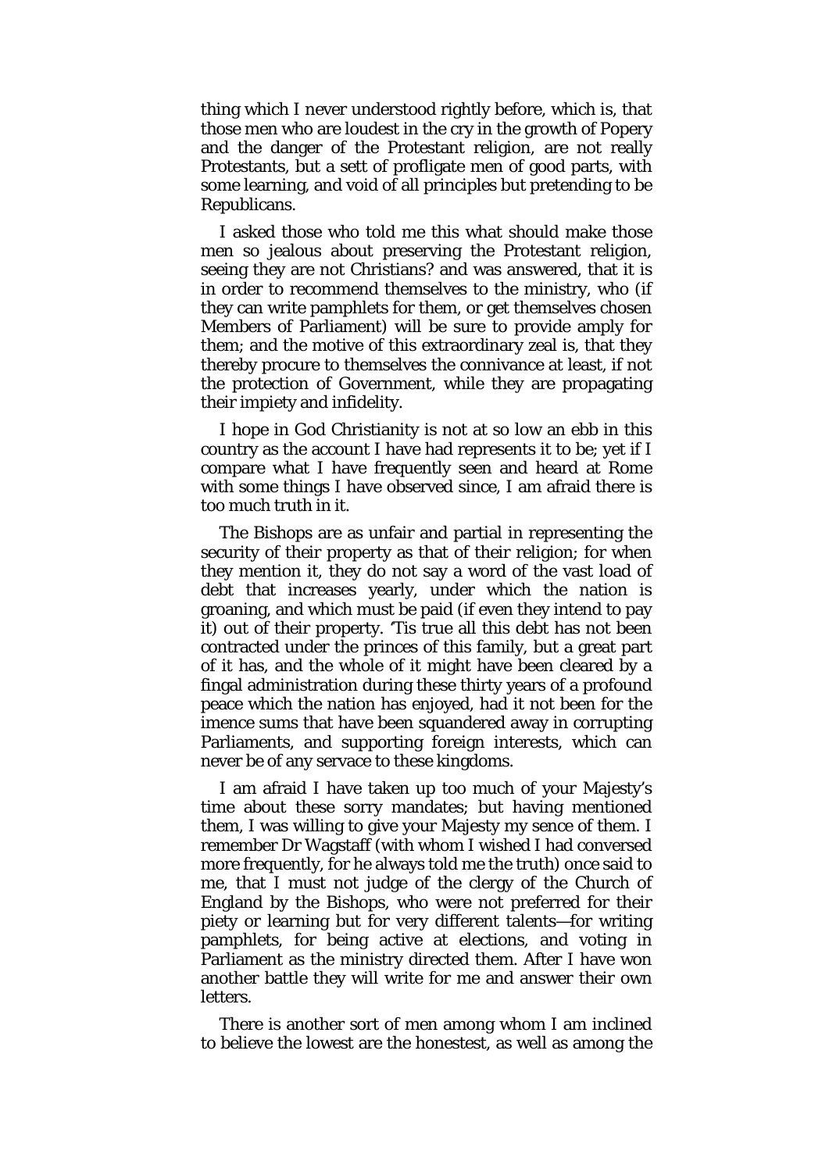thing which I never understood rightly before, which is, that those men who are loudest in the cry in the growth of Popery and the danger of the Protestant religion, are not really Protestants, but a sett of profligate men of good parts, with some learning, and void of all principles but pretending to be Republicans.

I asked those who told me this what should make those men so jealous about preserving the Protestant religion, seeing they are not Christians? and was answered, that it is in order to recommend themselves to the ministry, who (if they can write pamphlets for them, or get themselves chosen Members of Parliament) will be sure to provide amply for them; and the motive of this extraordinary zeal is, that they thereby procure to themselves the connivance at least, if not the protection of Government, while they are propagating their impiety and infidelity.

I hope in God Christianity is not at so low an ebb in this country as the account I have had represents it to be; yet if I compare what I have frequently seen and heard at Rome with some things I have observed since, I am afraid there is too much truth in it.

The Bishops are as unfair and partial in representing the security of their property as that of their religion; for when they mention it, they do not say a word of the vast load of debt that increases yearly, under which the nation is groaning, and which must be paid (if even they intend to pay it) out of their property. 'Tis true all this debt has not been contracted under the princes of this family, but a great part of it has, and the whole of it might have been cleared by a fingal administration during these thirty years of a profound peace which the nation has enjoyed, had it not been for the imence sums that have been squandered away in corrupting Parliaments, and supporting foreign interests, which can never be of any servace to these kingdoms.

I am afraid I have taken up too much of your Majesty's time about these sorry mandates; but having mentioned them, I was willing to give your Majesty my sence of them. I remember Dr Wagstaff (with whom I wished I had conversed more frequently, for he always told me the truth) once said to me, that I must not judge of the clergy of the Church of England by the Bishops, who were not preferred for their piety or learning but for very different talents—for writing pamphlets, for being active at elections, and voting in Parliament as the ministry directed them. After I have won another battle they will write for me and answer their own letters.

There is another sort of men among whom I am inclined to believe the lowest are the honestest, as well as among the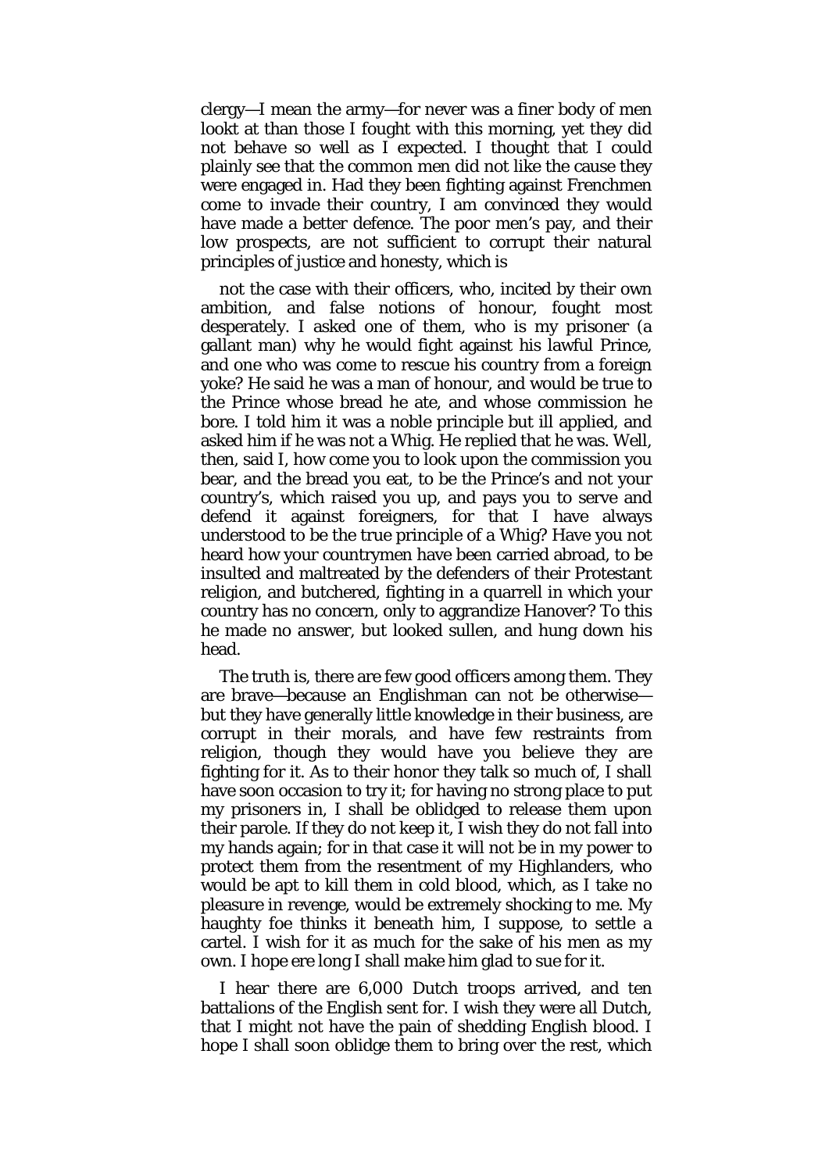clergy—I mean the army—for never was a finer body of men lookt at than those I fought with this morning, yet they did not behave so well as I expected. I thought that I could plainly see that the common men did not like the cause they were engaged in. Had they been fighting against Frenchmen come to invade their country, I am convinced they would have made a better defence. The poor men's pay, and their low prospects, are not sufficient to corrupt their natural principles of justice and honesty, which is

not the case with their officers, who, incited by their own ambition, and false notions of honour, fought most desperately. I asked one of them, who is my prisoner (a gallant man) why he would fight against his lawful Prince, and one who was come to rescue his country from a foreign yoke? He said he was a man of honour, and would be true to the Prince whose bread he ate, and whose commission he bore. I told him it was a noble principle but ill applied, and asked him if he was not a Whig. He replied that he was. Well, then, said I, how come you to look upon the commission you bear, and the bread you eat, to be the Prince's and not your country's, which raised you up, and pays you to serve and defend it against foreigners, for that I have always understood to be the true principle of a Whig? Have you not heard how your countrymen have been carried abroad, to be insulted and maltreated by the defenders of their Protestant religion, and butchered, fighting in a quarrell in which your country has no concern, only to aggrandize Hanover? To this he made no answer, but looked sullen, and hung down his head.

The truth is, there are few good officers among them. They are brave—because an Englishman can not be otherwise but they have generally little knowledge in their business, are corrupt in their morals, and have few restraints from religion, though they would have you believe they are fighting for it. As to their honor they talk so much of, I shall have soon occasion to try it; for having no strong place to put my prisoners in, I shall be oblidged to release them upon their parole. If they do not keep it, I wish they do not fall into my hands again; for in that case it will not be in my power to protect them from the resentment of my Highlanders, who would be apt to kill them in cold blood, which, as I take no pleasure in revenge, would be extremely shocking to me. My haughty foe thinks it beneath him, I suppose, to settle a cartel. I wish for it as much for the sake of his men as my own. I hope ere long I shall make him glad to sue for it.

I hear there are 6,000 Dutch troops arrived, and ten battalions of the English sent for. I wish they were all Dutch, that I might not have the pain of shedding English blood. I hope I shall soon oblidge them to bring over the rest, which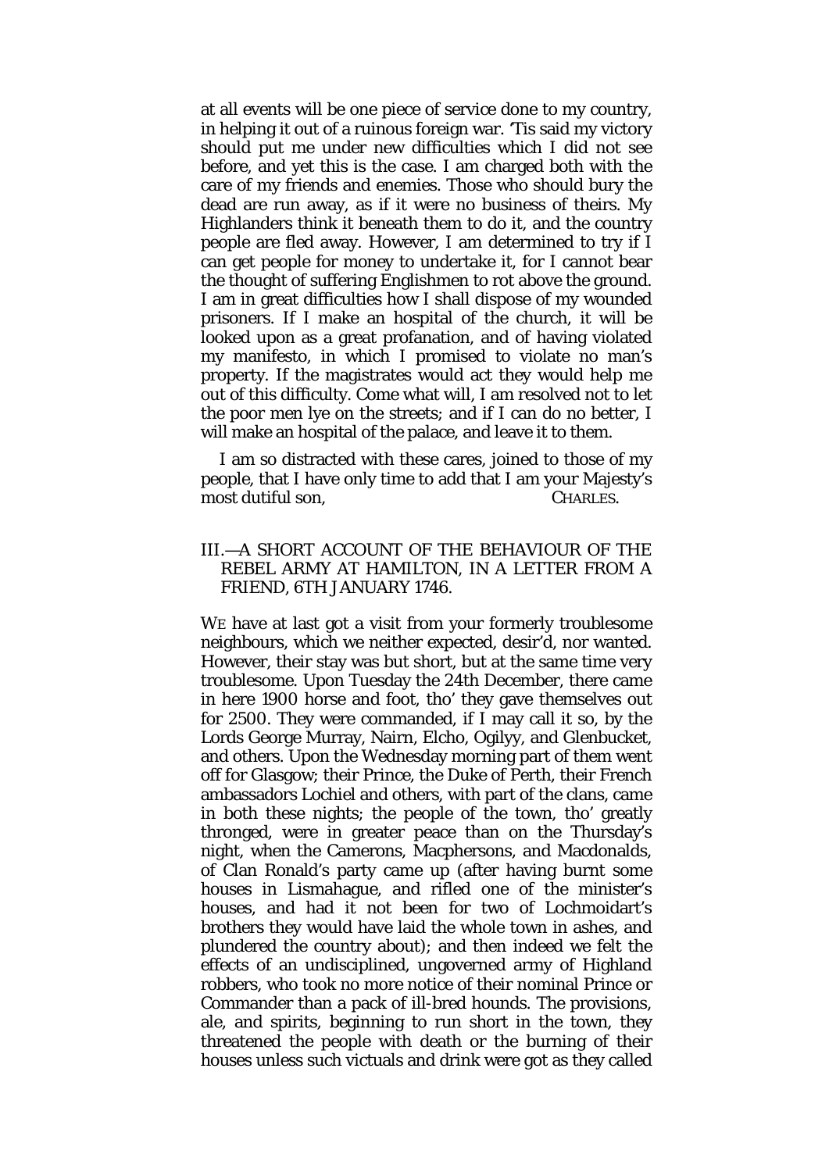at all events will be one piece of service done to my country, in helping it out of a ruinous foreign war. 'Tis said my victory should put me under new difficulties which I did not see before, and yet this is the case. I am charged both with the care of my friends and enemies. Those who should bury the dead are run away, as if it were no business of theirs. My Highlanders think it beneath them to do it, and the country people are fled away. However, I am determined to try if I can get people for money to undertake it, for I cannot bear the thought of suffering Englishmen to rot above the ground. I am in great difficulties how I shall dispose of my wounded prisoners. If I make an hospital of the church, it will be looked upon as a great profanation, and of having violated my manifesto, in which I promised to violate no man's property. If the magistrates would act they would help me out of this difficulty. Come what will, I am resolved not to let the poor men lye on the streets; and if I can do no better, I will make an hospital of the palace, and leave it to them.

I am so distracted with these cares, joined to those of my people, that I have only time to add that I am your Majesty's most dutiful son, CHARLES.

## III.—A SHORT ACCOUNT OF THE BEHAVIOUR OF THE REBEL ARMY AT HAMILTON, IN A LETTER FROM A FRIEND, 6TH JANUARY 1746.

WE have at last got a visit from your formerly troublesome neighbours, which we neither expected, desir'd, nor wanted. However, their stay was but short, but at the same time very troublesome. Upon Tuesday the 24th December, there came in here 1900 horse and foot, tho' they gave themselves out for 2500. They were commanded, if I may call it so, by the Lords George Murray, Nairn, Elcho, Ogilyy, and Glenbucket, and others. Upon the Wednesday morning part of them went off for Glasgow; their Prince, the Duke of Perth, their French ambassadors Lochiel and others, with part of the clans, came in both these nights; the people of the town, tho' greatly thronged, were in greater peace than on the Thursday's night, when the Camerons, Macphersons, and Macdonalds, of Clan Ronald's party came up (after having burnt some houses in Lismahague, and rifled one of the minister's houses, and had it not been for two of Lochmoidart's brothers they would have laid the whole town in ashes, and plundered the country about); and then indeed we felt the effects of an undisciplined, ungoverned army of Highland robbers, who took no more notice of their nominal Prince or Commander than a pack of ill-bred hounds. The provisions, ale, and spirits, beginning to run short in the town, they threatened the people with death or the burning of their houses unless such victuals and drink were got as they called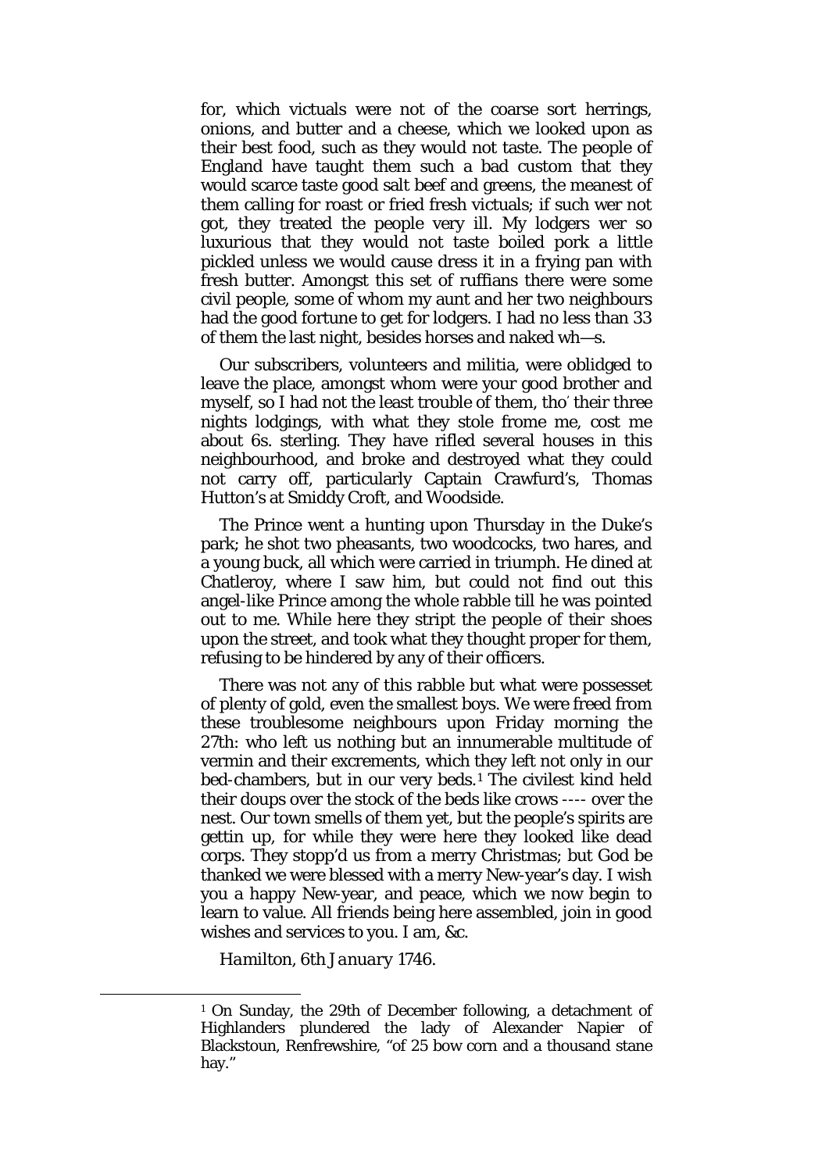for, which victuals were not of the coarse sort herrings, onions, and butter and a cheese, which we looked upon as their best food, such as they would not taste. The people of England have taught them such a bad custom that they would scarce taste good salt beef and greens, the meanest of them calling for roast or fried fresh victuals; if such wer not got, they treated the people very ill. My lodgers wer so luxurious that they would not taste boiled pork a little pickled unless we would cause dress it in a frying pan with fresh butter. Amongst this set of ruffians there were some civil people, some of whom my aunt and her two neighbours had the good fortune to get for lodgers. I had no less than 33 of them the last night, besides horses and naked wh—s.

Our subscribers, volunteers and militia, were oblidged to leave the place, amongst whom were your good brother and myself, so I had not the least trouble of them, tho' their three nights lodgings, with what they stole frome me, cost me about 6s. sterling. They have rifled several houses in this neighbourhood, and broke and destroyed what they could not carry off, particularly Captain Crawfurd's, Thomas Hutton's at Smiddy Croft, and Woodside.

The Prince went a hunting upon Thursday in the Duke's park; he shot two pheasants, two woodcocks, two hares, and a young buck, all which were carried in triumph. He dined at Chatleroy, where I saw him, but could not find out this angel-like Prince among the whole rabble till he was pointed out to me. While here they stript the people of their shoes upon the street, and took what they thought proper for them, refusing to be hindered by any of their officers.

There was not any of this rabble but what were possesset of plenty of gold, even the smallest boys. We were freed from these troublesome neighbours upon Friday morning the 27th: who left us nothing but an innumerable multitude of vermin and their excrements, which they left not only in our bed-chambers, but in our very beds.[1](#page-12-0) The civilest kind held their doups over the stock of the beds like crows ---- over the nest. Our town smells of them yet, but the people's spirits are gettin up, for while they were here they looked like dead corps. They stopp'd us from a merry Christmas; but God be thanked we were blessed with a merry New-year's day. I wish you a happy New-year, and peace, which we now begin to learn to value. All friends being here assembled, join in good wishes and services to you. I am, &c.

*Hamilton,* 6*th January* 1746.

<span id="page-12-0"></span><sup>1</sup> On Sunday, the 29th of December following, a detachment of Highlanders plundered the lady of Alexander Napier of Blackstoun, Renfrewshire, "of 25 bow corn and a thousand stane hay."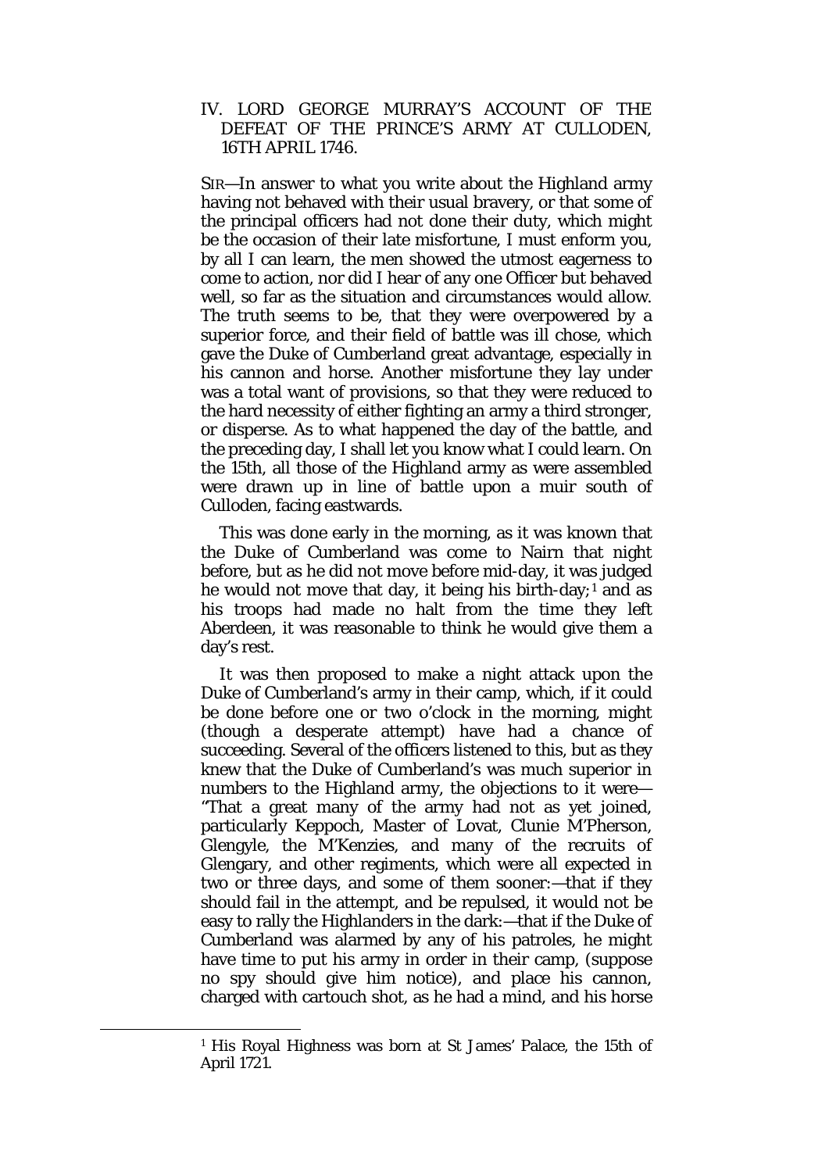## IV. LORD GEORGE MURRAY'S ACCOUNT OF THE DEFEAT OF THE PRINCE'S ARMY AT CULLODEN, 16TH APRIL 1746.

SIR—In answer to what you write about the Highland army having not behaved with their usual bravery, or that some of the principal officers had not done their duty, which might be the occasion of their late misfortune, I must enform you, by all I can learn, the men showed the utmost eagerness to come to action, nor did I hear of any one Officer but behaved well, so far as the situation and circumstances would allow. The truth seems to be, that they were overpowered by a superior force, and their field of battle was ill chose, which gave the Duke of Cumberland great advantage, especially in his cannon and horse. Another misfortune they lay under was a total want of provisions, so that they were reduced to the hard necessity of either fighting an army a third stronger, or disperse. As to what happened the day of the battle, and the preceding day, I shall let you know what I could learn. On the 15th, all those of the Highland army as were assembled were drawn up in line of battle upon a muir south of Culloden, facing eastwards.

This was done early in the morning, as it was known that the Duke of Cumberland was come to Nairn that night before, but as he did not move before mid-day, it was judged he would not move that day, it being his birth-day;<sup>[1](#page-13-0)</sup> and as his troops had made no halt from the time they left Aberdeen, it was reasonable to think he would give them a day's rest.

It was then proposed to make a night attack upon the Duke of Cumberland's army in their camp, which, if it could be done before one or two o'clock in the morning, might (though a desperate attempt) have had a chance of succeeding. Several of the officers listened to this, but as they knew that the Duke of Cumberland's was much superior in numbers to the Highland army, the objections to it were— "That a great many of the army had not as yet joined, particularly Keppoch, Master of Lovat, Clunie M'Pherson, Glengyle, the M'Kenzies, and many of the recruits of Glengary, and other regiments, which were all expected in two or three days, and some of them sooner:—that if they should fail in the attempt, and be repulsed, it would not be easy to rally the Highlanders in the dark:—that if the Duke of Cumberland was alarmed by any of his patroles, he might have time to put his army in order in their camp, (suppose no spy should give him notice), and place his cannon, charged with cartouch shot, as he had a mind, and his horse

<span id="page-13-0"></span><sup>1</sup> His Royal Highness was born at St James' Palace, the 15th of April 1721.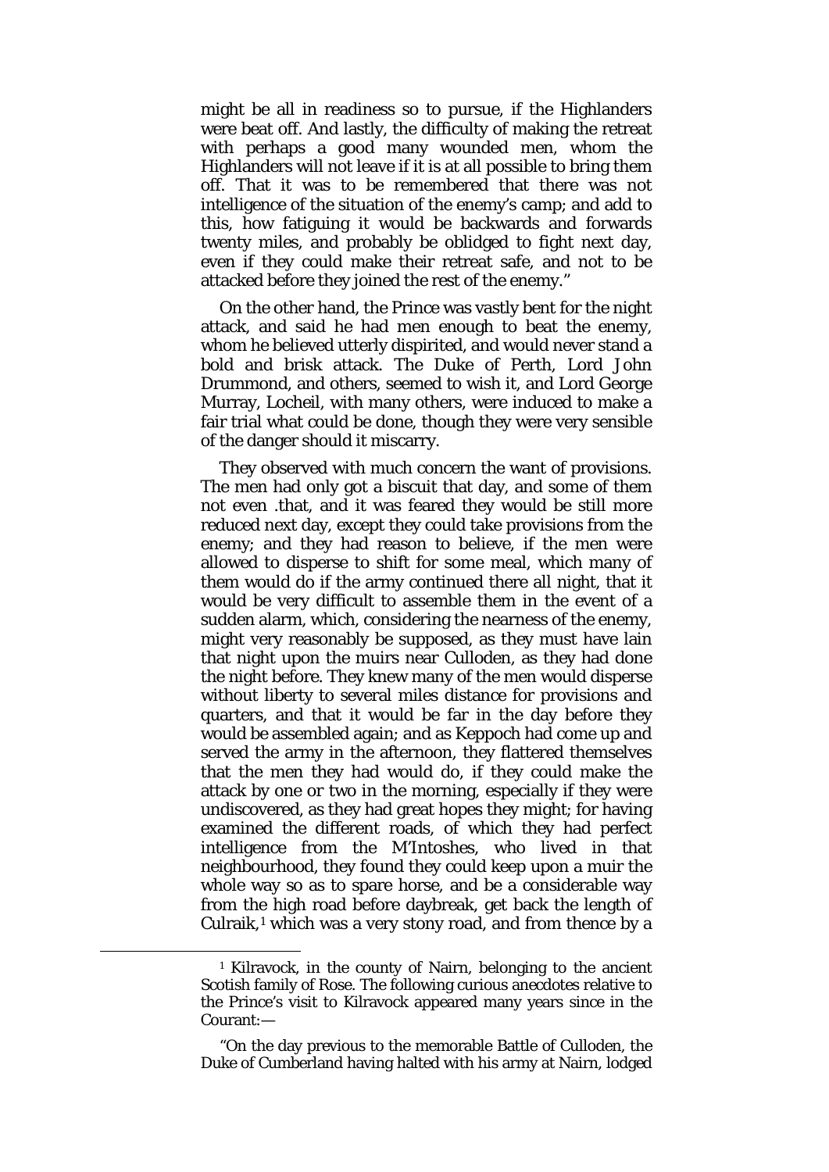might be all in readiness so to pursue, if the Highlanders were beat off. And lastly, the difficulty of making the retreat with perhaps a good many wounded men, whom the Highlanders will not leave if it is at all possible to bring them off. That it was to be remembered that there was not intelligence of the situation of the enemy's camp; and add to this, how fatiguing it would be backwards and forwards twenty miles, and probably be oblidged to fight next day, even if they could make their retreat safe, and not to be attacked before they joined the rest of the enemy."

On the other hand, the Prince was vastly bent for the night attack, and said he had men enough to beat the enemy, whom he believed utterly dispirited, and would never stand a bold and brisk attack. The Duke of Perth, Lord John Drummond, and others, seemed to wish it, and Lord George Murray, Locheil, with many others, were induced to make a fair trial what could be done, though they were very sensible of the danger should it miscarry.

They observed with much concern the want of provisions. The men had only got a biscuit that day, and some of them not even .that, and it was feared they would be still more reduced next day, except they could take provisions from the enemy; and they had reason to believe, if the men were allowed to disperse to shift for some meal, which many of them would do if the army continued there all night, that it would be very difficult to assemble them in the event of a sudden alarm, which, considering the nearness of the enemy, might very reasonably be supposed, as they must have lain that night upon the muirs near Culloden, as they had done the night before. They knew many of the men would disperse without liberty to several miles distance for provisions and quarters, and that it would be far in the day before they would be assembled again; and as Keppoch had come up and served the army in the afternoon, they flattered themselves that the men they had would do, if they could make the attack by one or two in the morning, especially if they were undiscovered, as they had great hopes they might; for having examined the different roads, of which they had perfect intelligence from the M'Intoshes, who lived in that neighbourhood, they found they could keep upon a muir the whole way so as to spare horse, and be a considerable way from the high road before daybreak, get back the length of Culraik,<sup>[1](#page-14-0)</sup> which was a very stony road, and from thence by a

<span id="page-14-0"></span>**.** 

<sup>1</sup> Kilravock, in the county of Nairn, belonging to the ancient Scotish family of Rose. The following curious anecdotes relative to the Prince's visit to Kilravock appeared many years since in the Courant:—

<sup>&</sup>quot;On the day previous to the memorable Battle of Culloden, the Duke of Cumberland having halted with his army at Nairn, lodged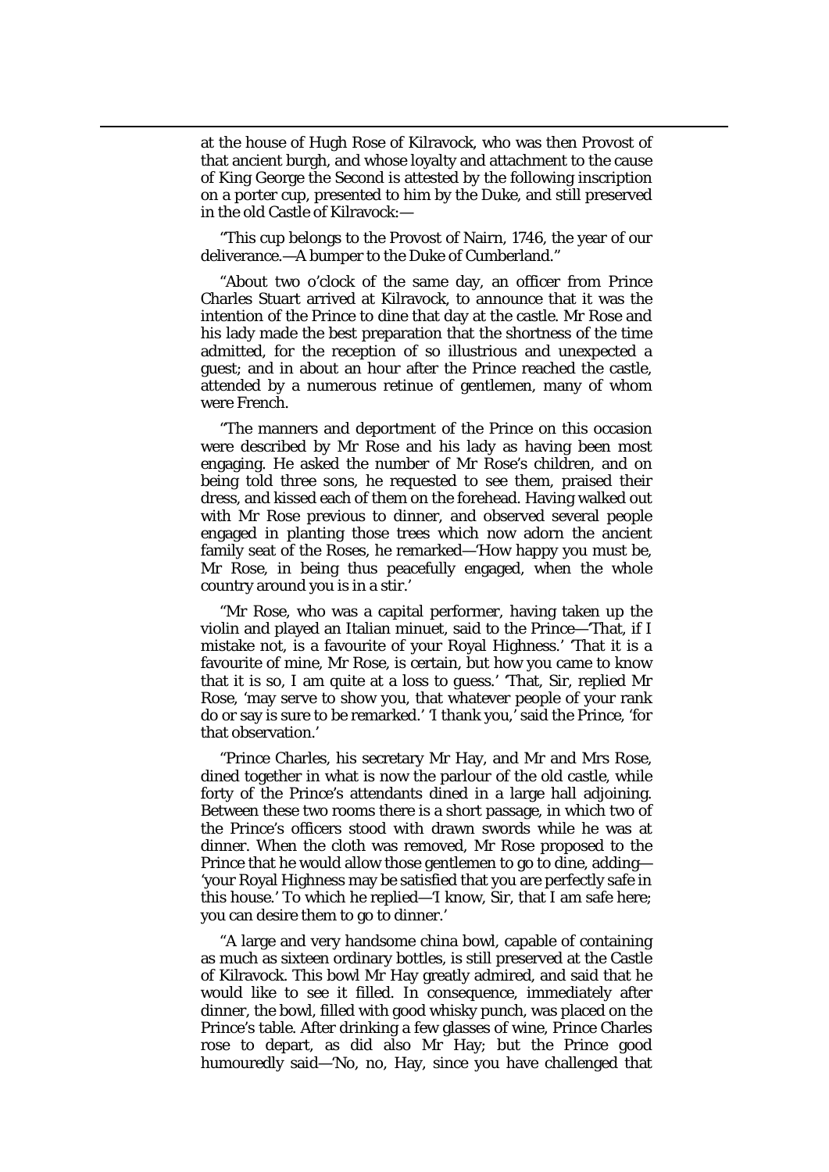at the house of Hugh Rose of Kilravock, who was then Provost of that ancient burgh, and whose loyalty and attachment to the cause of King George the Second is attested by the following inscription on a porter cup, presented to him by the Duke, and still preserved in the old Castle of Kilravock:—

 $\overline{\phantom{a}}$ 

"This cup belongs to the Provost of Nairn, 1746, the year of our deliverance.—A bumper to the Duke of Cumberland."

"About two o'clock of the same day, an officer from Prince Charles Stuart arrived at Kilravock, to announce that it was the intention of the Prince to dine that day at the castle. Mr Rose and his lady made the best preparation that the shortness of the time admitted, for the reception of so illustrious and unexpected a guest; and in about an hour after the Prince reached the castle, attended by a numerous retinue of gentlemen, many of whom were French.

"The manners and deportment of the Prince on this occasion were described by Mr Rose and his lady as having been most engaging. He asked the number of Mr Rose's children, and on being told three sons, he requested to see them, praised their dress, and kissed each of them on the forehead. Having walked out with Mr Rose previous to dinner, and observed several people engaged in planting those trees which now adorn the ancient family seat of the Roses, he remarked—'How happy you must be, Mr Rose, in being thus peacefully engaged, when the whole country around you is in a stir.'

"Mr Rose, who was a capital performer, having taken up the violin and played an Italian minuet, said to the Prince—'That, if I mistake not, is a favourite of your Royal Highness.' 'That it is a favourite of mine, Mr Rose, is certain, but how you came to know that it is so, I am quite at a loss to guess.' 'That, Sir, replied Mr Rose, 'may serve to show you, that whatever people of your rank do or say is sure to be remarked.' 'I thank you,' said the Prince, 'for that observation.'

"Prince Charles, his secretary Mr Hay, and Mr and Mrs Rose, dined together in what is now the parlour of the old castle, while forty of the Prince's attendants dined in a large hall adjoining. Between these two rooms there is a short passage, in which two of the Prince's officers stood with drawn swords while he was at dinner. When the cloth was removed, Mr Rose proposed to the Prince that he would allow those gentlemen to go to dine, adding— 'your Royal Highness may be satisfied that you are perfectly safe in this house.' To which he replied—'I know, Sir, that I am safe here; you can desire them to go to dinner.'

"A large and very handsome china bowl, capable of containing as much as sixteen ordinary bottles, is still preserved at the Castle of Kilravock. This bowl Mr Hay greatly admired, and said that he would like to see it filled. In consequence, immediately after dinner, the bowl, filled with good whisky punch, was placed on the Prince's table. After drinking a few glasses of wine, Prince Charles rose to depart, as did also Mr Hay; but the Prince good humouredly said—'No, no, Hay, since you have challenged that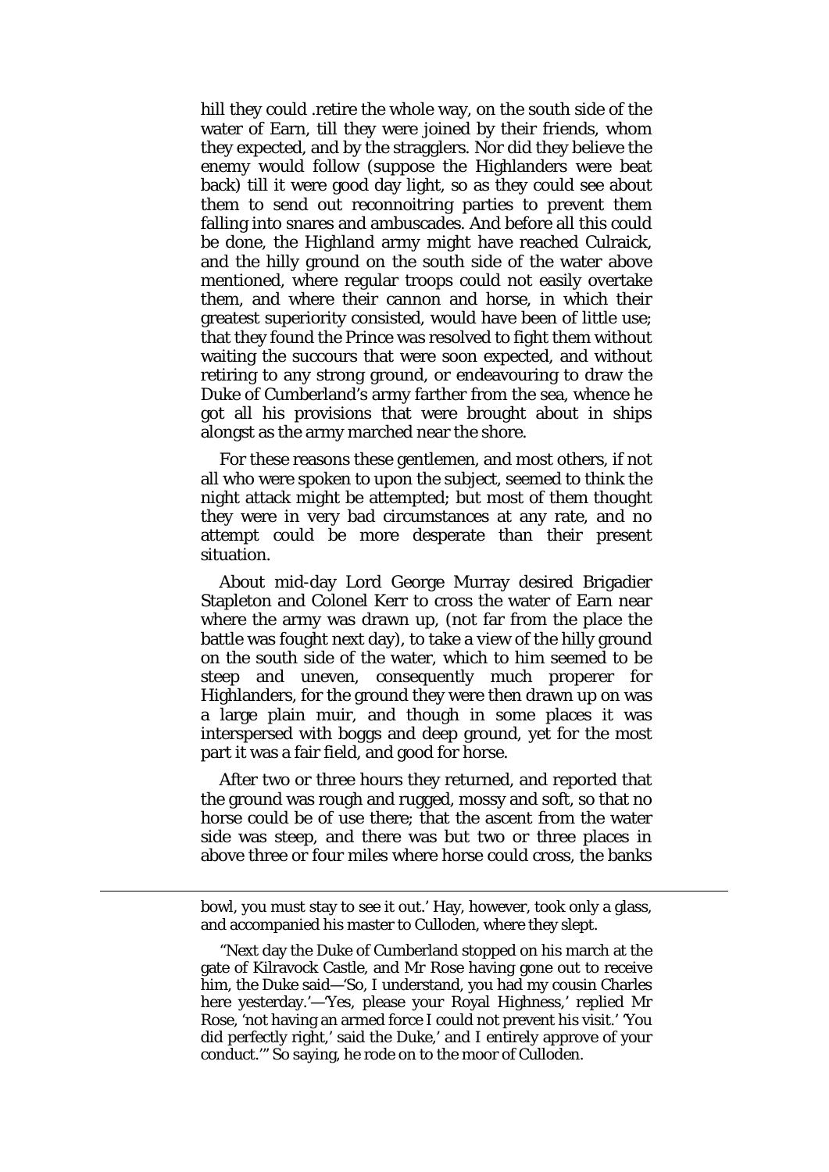hill they could .retire the whole way, on the south side of the water of Earn, till they were joined by their friends, whom they expected, and by the stragglers. Nor did they believe the enemy would follow (suppose the Highlanders were beat back) till it were good day light, so as they could see about them to send out reconnoitring parties to prevent them falling into snares and ambuscades. And before all this could be done, the Highland army might have reached Culraick, and the hilly ground on the south side of the water above mentioned, where regular troops could not easily overtake them, and where their cannon and horse, in which their greatest superiority consisted, would have been of little use; that they found the Prince was resolved to fight them without waiting the succours that were soon expected, and without retiring to any strong ground, or endeavouring to draw the Duke of Cumberland's army farther from the sea, whence he got all his provisions that were brought about in ships alongst as the army marched near the shore.

For these reasons these gentlemen, and most others, if not all who were spoken to upon the subject, seemed to think the night attack might be attempted; but most of them thought they were in very bad circumstances at any rate, and no attempt could be more desperate than their present situation.

About mid-day Lord George Murray desired Brigadier Stapleton and Colonel Kerr to cross the water of Earn near where the army was drawn up, (not far from the place the battle was fought next day), to take a view of the hilly ground on the south side of the water, which to him seemed to be steep and uneven, consequently much properer for Highlanders, for the ground they were then drawn up on was a large plain muir, and though in some places it was interspersed with boggs and deep ground, yet for the most part it was a fair field, and good for horse.

After two or three hours they returned, and reported that the ground was rough and rugged, mossy and soft, so that no horse could be of use there; that the ascent from the water side was steep, and there was but two or three places in above three or four miles where horse could cross, the banks

bowl, you must stay to see it out.' Hay, however, took only a glass, and accompanied his master to Culloden, where they slept.

**.** 

"Next day the Duke of Cumberland stopped on his march at the gate of Kilravock Castle, and Mr Rose having gone out to receive him, the Duke said—'So, I understand, you had my cousin Charles here yesterday.'—'Yes, please your Royal Highness,' replied Mr Rose, 'not having an armed force I could not prevent his visit.' 'You did perfectly right,' said the Duke,' and I entirely approve of your conduct.'" So saying, he rode on to the moor of Culloden.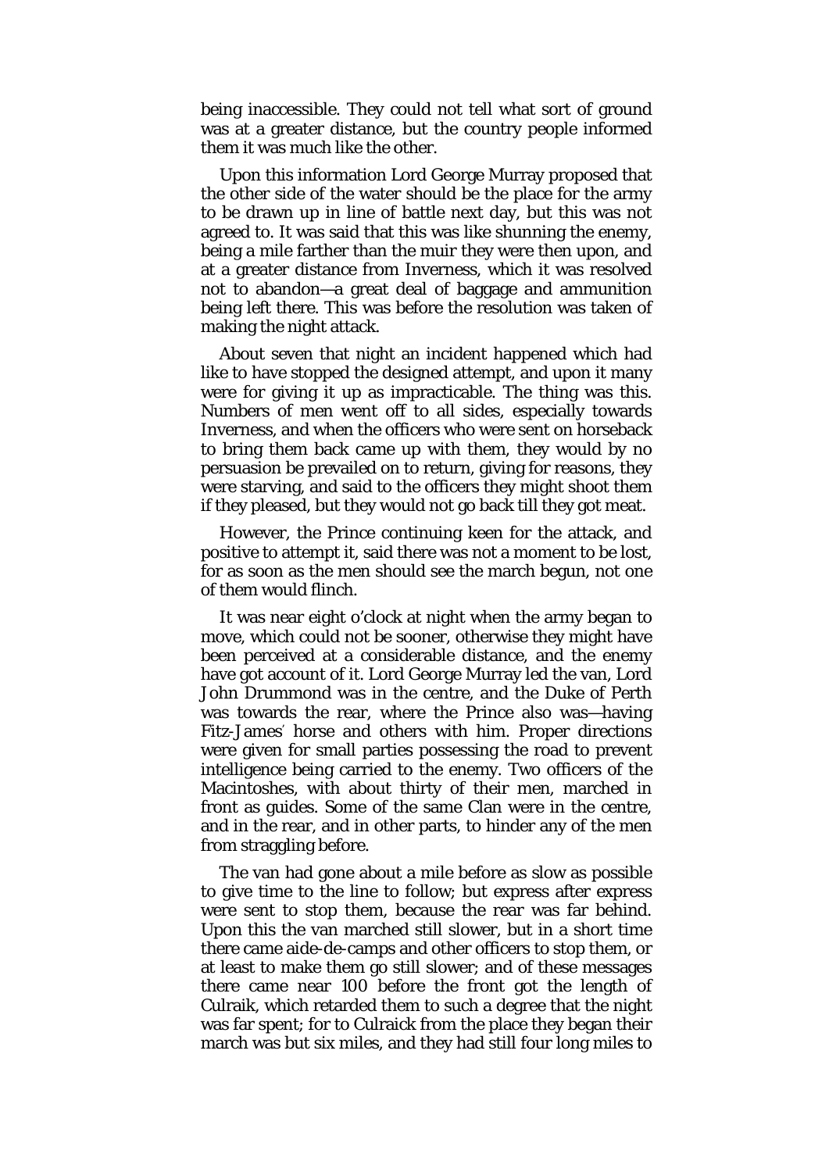being inaccessible. They could not tell what sort of ground was at a greater distance, but the country people informed them it was much like the other.

Upon this information Lord George Murray proposed that the other side of the water should be the place for the army to be drawn up in line of battle next day, but this was not agreed to. It was said that this was like shunning the enemy, being a mile farther than the muir they were then upon, and at a greater distance from Inverness, which it was resolved not to abandon—a great deal of baggage and ammunition being left there. This was before the resolution was taken of making the night attack.

About seven that night an incident happened which had like to have stopped the designed attempt, and upon it many were for giving it up as impracticable. The thing was this. Numbers of men went off to all sides, especially towards Inverness, and when the officers who were sent on horseback to bring them back came up with them, they would by no persuasion be prevailed on to return, giving for reasons, they were starving, and said to the officers they might shoot them if they pleased, but they would not go back till they got meat.

However, the Prince continuing keen for the attack, and positive to attempt it, said there was not a moment to be lost, for as soon as the men should see the march begun, not one of them would flinch.

It was near eight o'clock at night when the army began to move, which could not be sooner, otherwise they might have been perceived at a considerable distance, and the enemy have got account of it. Lord George Murray led the van, Lord John Drummond was in the centre, and the Duke of Perth was towards the rear, where the Prince also was—having Fitz-James' horse and others with him. Proper directions were given for small parties possessing the road to prevent intelligence being carried to the enemy. Two officers of the Macintoshes, with about thirty of their men, marched in front as guides. Some of the same Clan were in the centre, and in the rear, and in other parts, to hinder any of the men from straggling before.

The van had gone about a mile before as slow as possible to give time to the line to follow; but express after express were sent to stop them, because the rear was far behind. Upon this the van marched still slower, but in a short time there came aide-de-camps and other officers to stop them, or at least to make them go still slower; and of these messages there came near 100 before the front got the length of Culraik, which retarded them to such a degree that the night was far spent; for to Culraick from the place they began their march was but six miles, and they had still four long miles to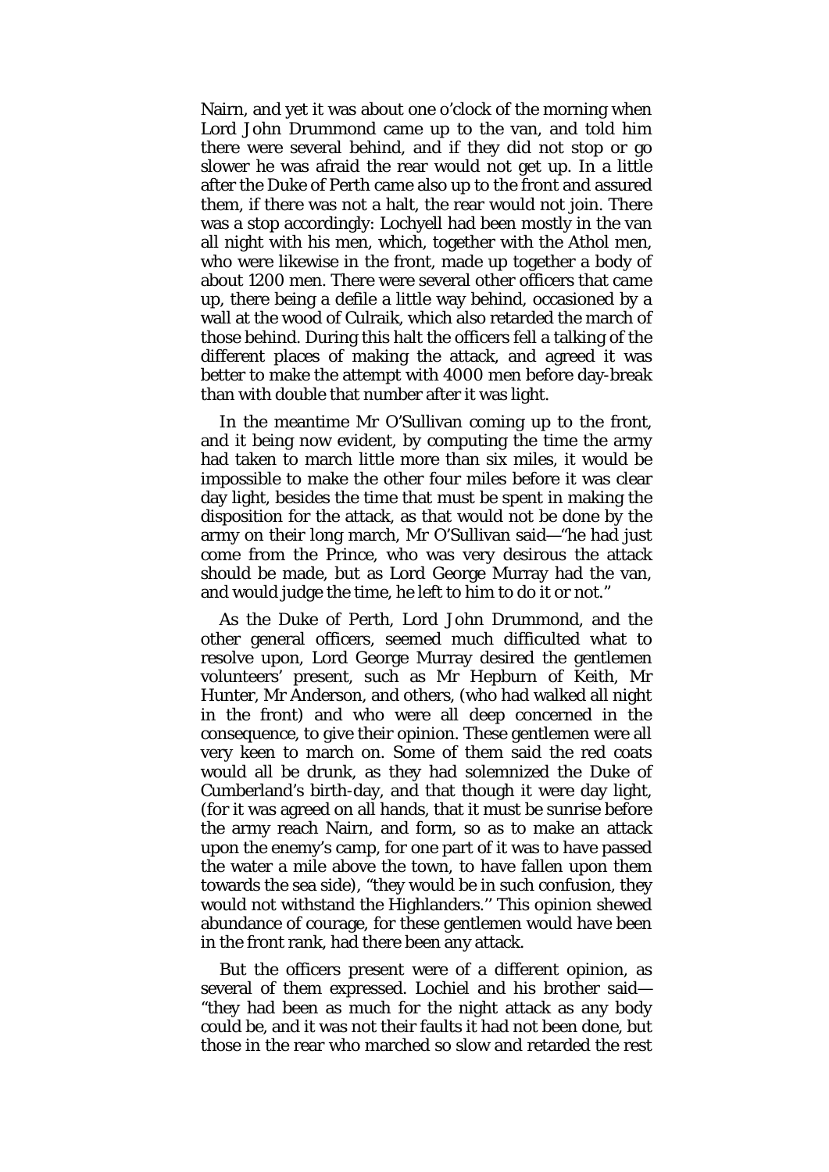Nairn, and yet it was about one o'clock of the morning when Lord John Drummond came up to the van, and told him there were several behind, and if they did not stop or go slower he was afraid the rear would not get up. In a little after the Duke of Perth came also up to the front and assured them, if there was not a halt, the rear would not join. There was a stop accordingly: Lochyell had been mostly in the van all night with his men, which, together with the Athol men, who were likewise in the front, made up together a body of about 1200 men. There were several other officers that came up, there being a defile a little way behind, occasioned by a wall at the wood of Culraik, which also retarded the march of those behind. During this halt the officers fell a talking of the different places of making the attack, and agreed it was better to make the attempt with 4000 men before day-break than with double that number after it was light.

In the meantime Mr O'Sullivan coming up to the front, and it being now evident, by computing the time the army had taken to march little more than six miles, it would be impossible to make the other four miles before it was clear day light, besides the time that must be spent in making the disposition for the attack, as that would not be done by the army on their long march, Mr O'Sullivan said—"he had just come from the Prince, who was very desirous the attack should be made, but as Lord George Murray had the van, and would judge the time, he left to him to do it or not."

As the Duke of Perth, Lord John Drummond, and the other general officers, seemed much difficulted what to resolve upon, Lord George Murray desired the gentlemen volunteers' present, such as Mr Hepburn of Keith, Mr Hunter, Mr Anderson, and others, (who had walked all night in the front) and who were all deep concerned in the consequence, to give their opinion. These gentlemen were all very keen to march on. Some of them said the red coats would all be drunk, as they had solemnized the Duke of Cumberland's birth-day, and that though it were day light, (for it was agreed on all hands, that it must be sunrise before the army reach Nairn, and form, so as to make an attack upon the enemy's camp, for one part of it was to have passed the water a mile above the town, to have fallen upon them towards the sea side), "they would be in such confusion, they would not withstand the Highlanders.'' This opinion shewed abundance of courage, for these gentlemen would have been in the front rank, had there been any attack.

But the officers present were of a different opinion, as several of them expressed. Lochiel and his brother said— "they had been as much for the night attack as any body could be, and it was not their faults it had not been done, but those in the rear who marched so slow and retarded the rest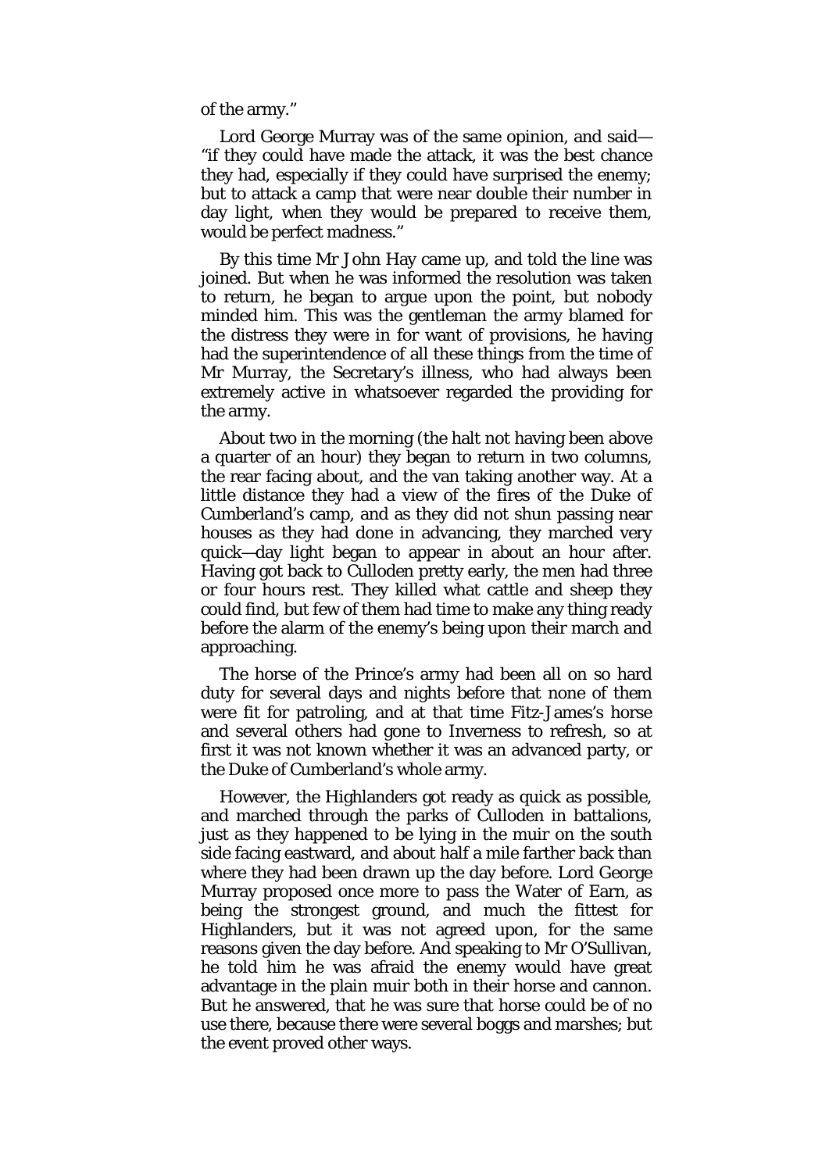of the army."

Lord George Murray was of the same opinion, and said— "if they could have made the attack, it was the best chance they had, especially if they could have surprised the enemy; but to attack a camp that were near double their number in day light, when they would be prepared to receive them, would be perfect madness."

By this time Mr John Hay came up, and told the line was joined. But when he was informed the resolution was taken to return, he began to argue upon the point, but nobody minded him. This was the gentleman the army blamed for the distress they were in for want of provisions, he having had the superintendence of all these things from the time of Mr Murray, the Secretary's illness, who had always been extremely active in whatsoever regarded the providing for the army.

About two in the morning (the halt not having been above a quarter of an hour) they began to return in two columns, the rear facing about, and the van taking another way. At a little distance they had a view of the fires of the Duke of Cumberland's camp, and as they did not shun passing near houses as they had done in advancing, they marched very quick—day light began to appear in about an hour after. Having got back to Culloden pretty early, the men had three or four hours rest. They killed what cattle and sheep they could find, but few of them had time to make any thing ready before the alarm of the enemy's being upon their march and approaching.

The horse of the Prince's army had been all on so hard duty for several days and nights before that none of them were fit for patroling, and at that time Fitz-James's horse and several others had gone to Inverness to refresh, so at first it was not known whether it was an advanced party, or the Duke of Cumberland's whole army.

However, the Highlanders got ready as quick as possible, and marched through the parks of Culloden in battalions, just as they happened to be lying in the muir on the south side facing eastward, and about half a mile farther back than where they had been drawn up the day before. Lord George Murray proposed once more to pass the Water of Earn, as being the strongest ground, and much the fittest for Highlanders, but it was not agreed upon, for the same reasons given the day before. And speaking to Mr O'Sullivan, he told him he was afraid the enemy would have great advantage in the plain muir both in their horse and cannon. But he answered, that he was sure that horse could be of no use there, because there were several boggs and marshes; but the event proved other ways.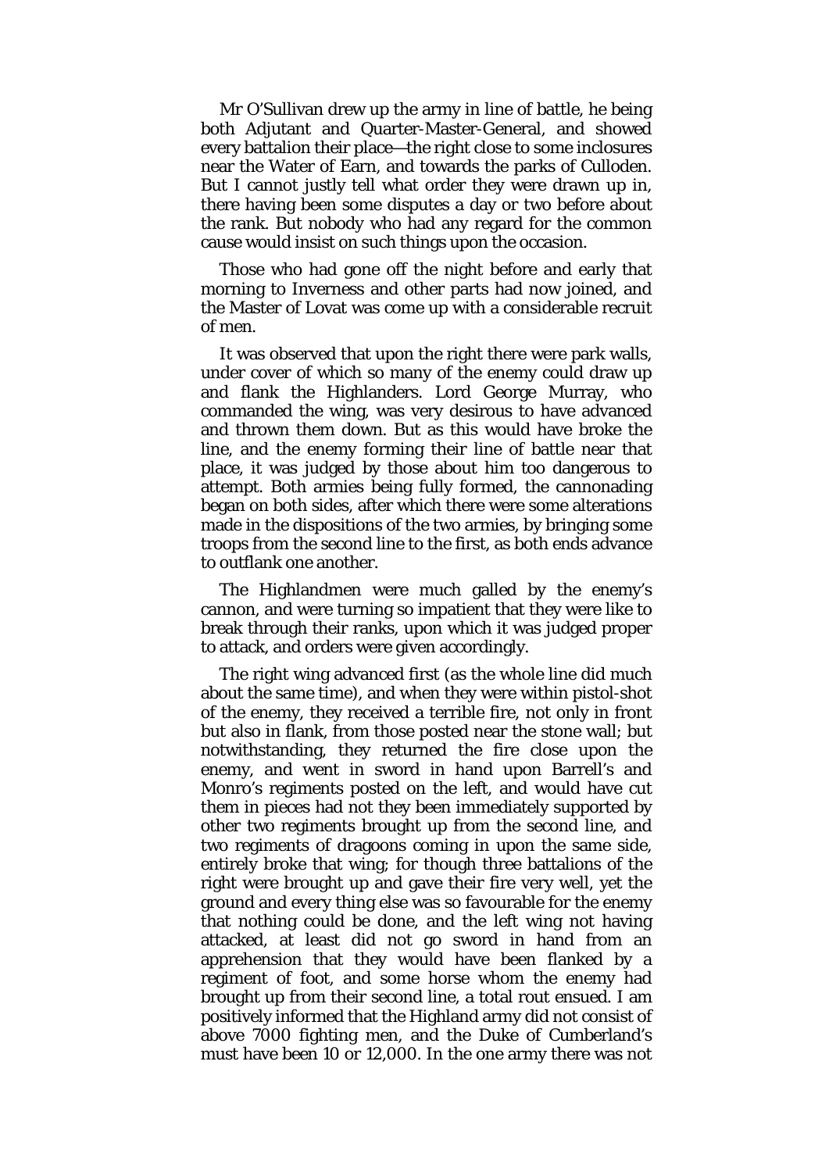Mr O'Sullivan drew up the army in line of battle, he being both Adjutant and Quarter-Master-General, and showed every battalion their place—the right close to some inclosures near the Water of Earn, and towards the parks of Culloden. But I cannot justly tell what order they were drawn up in, there having been some disputes a day or two before about the rank. But nobody who had any regard for the common cause would insist on such things upon the occasion.

Those who had gone off the night before and early that morning to Inverness and other parts had now joined, and the Master of Lovat was come up with a considerable recruit of men.

It was observed that upon the right there were park walls, under cover of which so many of the enemy could draw up and flank the Highlanders. Lord George Murray, who commanded the wing, was very desirous to have advanced and thrown them down. But as this would have broke the line, and the enemy forming their line of battle near that place, it was judged by those about him too dangerous to attempt. Both armies being fully formed, the cannonading began on both sides, after which there were some alterations made in the dispositions of the two armies, by bringing some troops from the second line to the first, as both ends advance to outflank one another.

The Highlandmen were much galled by the enemy's cannon, and were turning so impatient that they were like to break through their ranks, upon which it was judged proper to attack, and orders were given accordingly.

The right wing advanced first (as the whole line did much about the same time), and when they were within pistol-shot of the enemy, they received a terrible fire, not only in front but also in flank, from those posted near the stone wall; but notwithstanding, they returned the fire close upon the enemy, and went in sword in hand upon Barrell's and Monro's regiments posted on the left, and would have cut them in pieces had not they been immediately supported by other two regiments brought up from the second line, and two regiments of dragoons coming in upon the same side, entirely broke that wing; for though three battalions of the right were brought up and gave their fire very well, yet the ground and every thing else was so favourable for the enemy that nothing could be done, and the left wing not having attacked, at least did not go sword in hand from an apprehension that they would have been flanked by a regiment of foot, and some horse whom the enemy had brought up from their second line, a total rout ensued. I am positively informed that the Highland army did not consist of above 7000 fighting men, and the Duke of Cumberland's must have been 10 or 12,000. In the one army there was not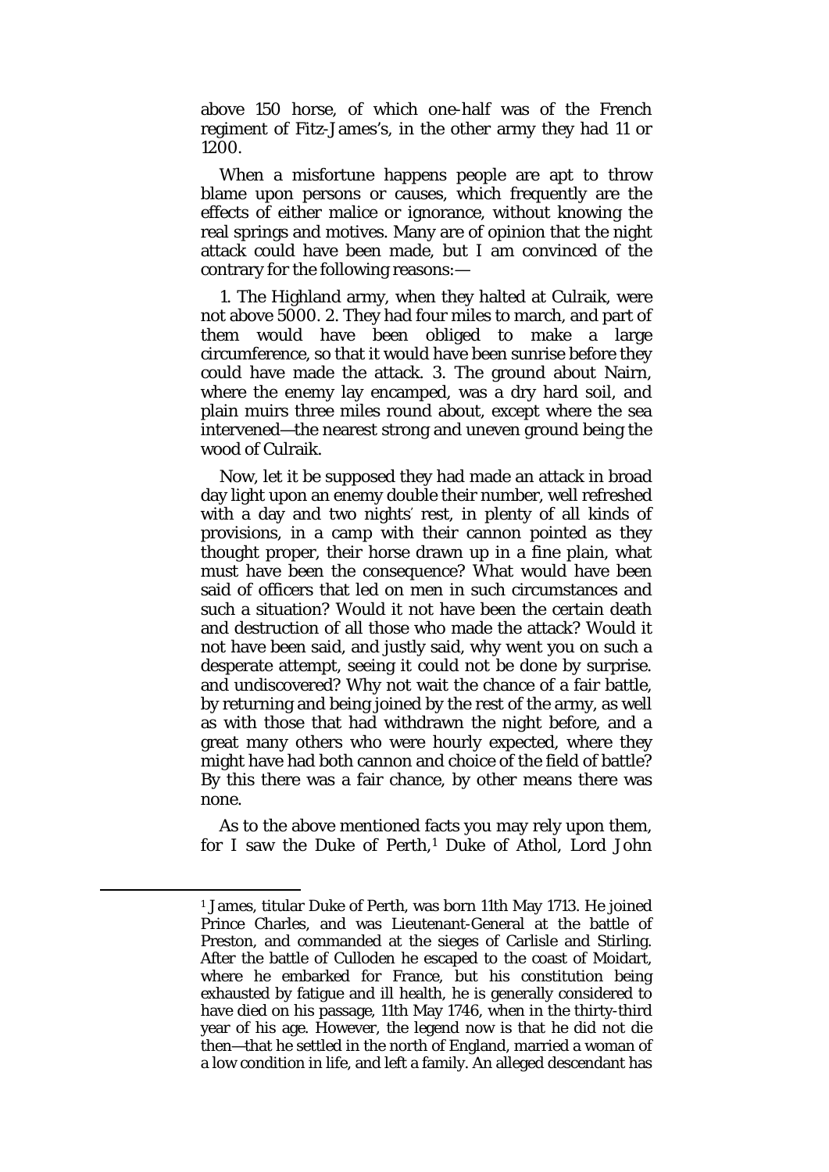above 150 horse, of which one-half was of the French regiment of Fitz-James's, in the other army they had 11 or 1200.

When a misfortune happens people are apt to throw blame upon persons or causes, which frequently are the effects of either malice or ignorance, without knowing the real springs and motives. Many are of opinion that the night attack could have been made, but I am convinced of the contrary for the following reasons:—

1. The Highland army, when they halted at Culraik, were not above 5000. 2. They had four miles to march, and part of them would have been obliged to make a large circumference, so that it would have been sunrise before they could have made the attack. 3. The ground about Nairn, where the enemy lay encamped, was a dry hard soil, and plain muirs three miles round about, except where the sea intervened—the nearest strong and uneven ground being the wood of Culraik.

Now, let it be supposed they had made an attack in broad day light upon an enemy double their number, well refreshed with a day and two nights' rest, in plenty of all kinds of provisions, in a camp with their cannon pointed as they thought proper, their horse drawn up in a fine plain, what must have been the consequence? What would have been said of officers that led on men in such circumstances and such a situation? Would it not have been the certain death and destruction of all those who made the attack? Would it not have been said, and justly said, why went you on such a desperate attempt, seeing it could not be done by surprise. and undiscovered? Why not wait the chance of a fair battle, by returning and being joined by the rest of the army, as well as with those that had withdrawn the night before, and a great many others who were hourly expected, where they might have had both cannon and choice of the field of battle? By this there was a fair chance, by other means there was none.

As to the above mentioned facts you may rely upon them, for I saw the Duke of Perth,<sup>[1](#page-21-0)</sup> Duke of Athol, Lord John

<span id="page-21-0"></span><sup>1</sup> James, titular Duke of Perth, was born 11th May 1713. He joined Prince Charles, and was Lieutenant-General at the battle of Preston, and commanded at the sieges of Carlisle and Stirling. After the battle of Culloden he escaped to the coast of Moidart, where he embarked for France, but his constitution being exhausted by fatigue and ill health, he is generally considered to have died on his passage, 11th May 1746, when in the thirty-third year of his age. However, the legend now is that he did not die then—that he settled in the north of England, married a woman of a low condition in life, and left a family. An alleged descendant has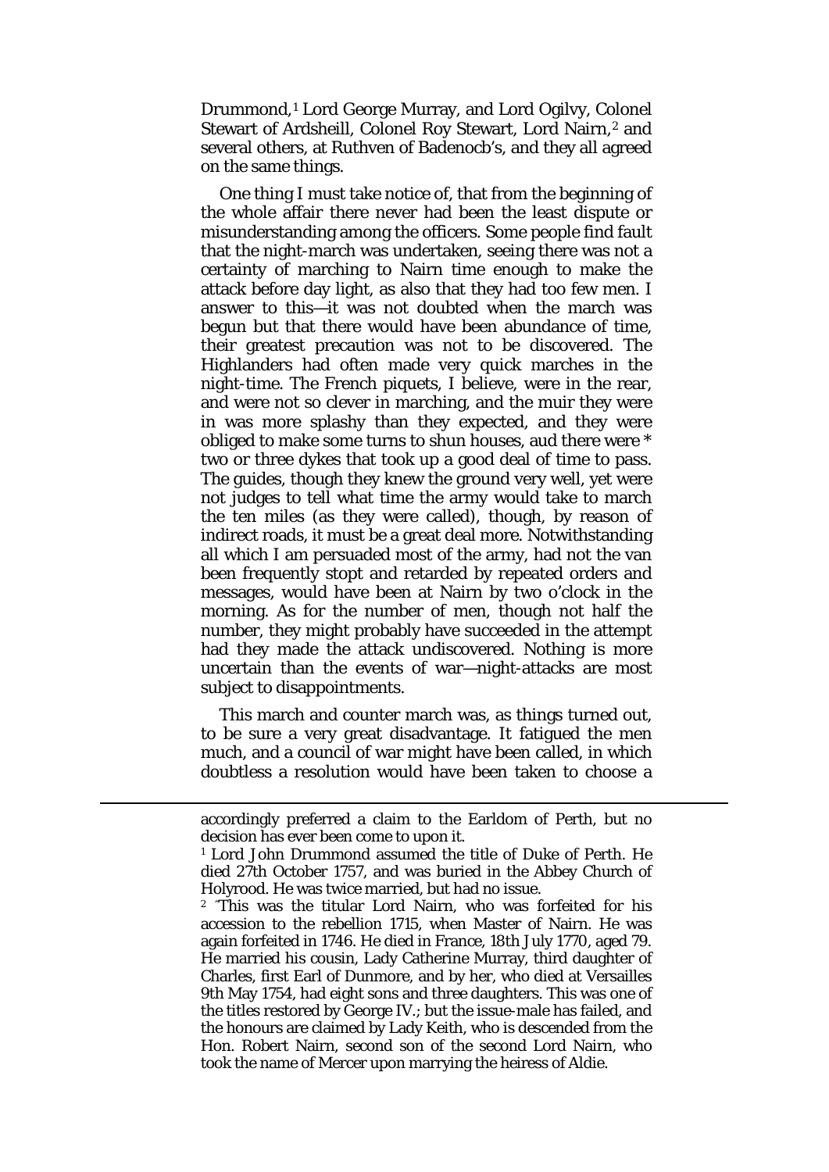Drummond,[1](#page-22-0) Lord George Murray, and Lord Ogilvy, Colonel Stewart of Ardsheill, Colonel Roy Stewart, Lord Nairn,<sup>[2](#page-22-1)</sup> and several others, at Ruthven of Badenocb's, and they all agreed on the same things.

One thing I must take notice of, that from the beginning of the whole affair there never had been the least dispute or misunderstanding among the officers. Some people find fault that the night-march was undertaken, seeing there was not a certainty of marching to Nairn time enough to make the attack before day light, as also that they had too few men. I answer to this—it was not doubted when the march was begun but that there would have been abundance of time, their greatest precaution was not to be discovered. The Highlanders had often made very quick marches in the night-time. The French piquets, I believe, were in the rear, and were not so clever in marching, and the muir they were in was more splashy than they expected, and they were obliged to make some turns to shun houses, aud there were \* two or three dykes that took up a good deal of time to pass. The guides, though they knew the ground very well, yet were not judges to tell what time the army would take to march the ten miles (as they were called), though, by reason of indirect roads, it must be a great deal more. Notwithstanding all which I am persuaded most of the army, had not the van been frequently stopt and retarded by repeated orders and messages, would have been at Nairn by two o'clock in the morning. As for the number of men, though not half the number, they might probably have succeeded in the attempt had they made the attack undiscovered. Nothing is more uncertain than the events of war—night-attacks are most subject to disappointments.

This march and counter march was, as things turned out, to be sure a very great disadvantage. It fatigued the men much, and a council of war might have been called, in which doubtless a resolution would have been taken to choose a

<span id="page-22-1"></span><span id="page-22-0"></span>**.** 

accordingly preferred a claim to the Earldom of Perth, but no decision has ever been come to upon it.

<sup>1</sup> Lord John Drummond assumed the title of Duke of Perth. He died 27th October 1757, and was buried in the Abbey Church of Holyrood. He was twice married, but had no issue.

<sup>2</sup> " This was the titular Lord Nairn, who was forfeited for his accession to the rebellion 1715, when Master of Nairn. He was again forfeited in 1746. He died in France, 18th July 1770, aged 79. He married his cousin, Lady Catherine Murray, third daughter of Charles, first Earl of Dunmore, and by her, who died at Versailles 9th May 1754, had eight sons and three daughters. This was one of the titles restored by George IV.; but the issue-male has failed, and the honours are claimed by Lady Keith, who is descended from the Hon. Robert Nairn, second son of the second Lord Nairn, who took the name of Mercer upon marrying the heiress of Aldie.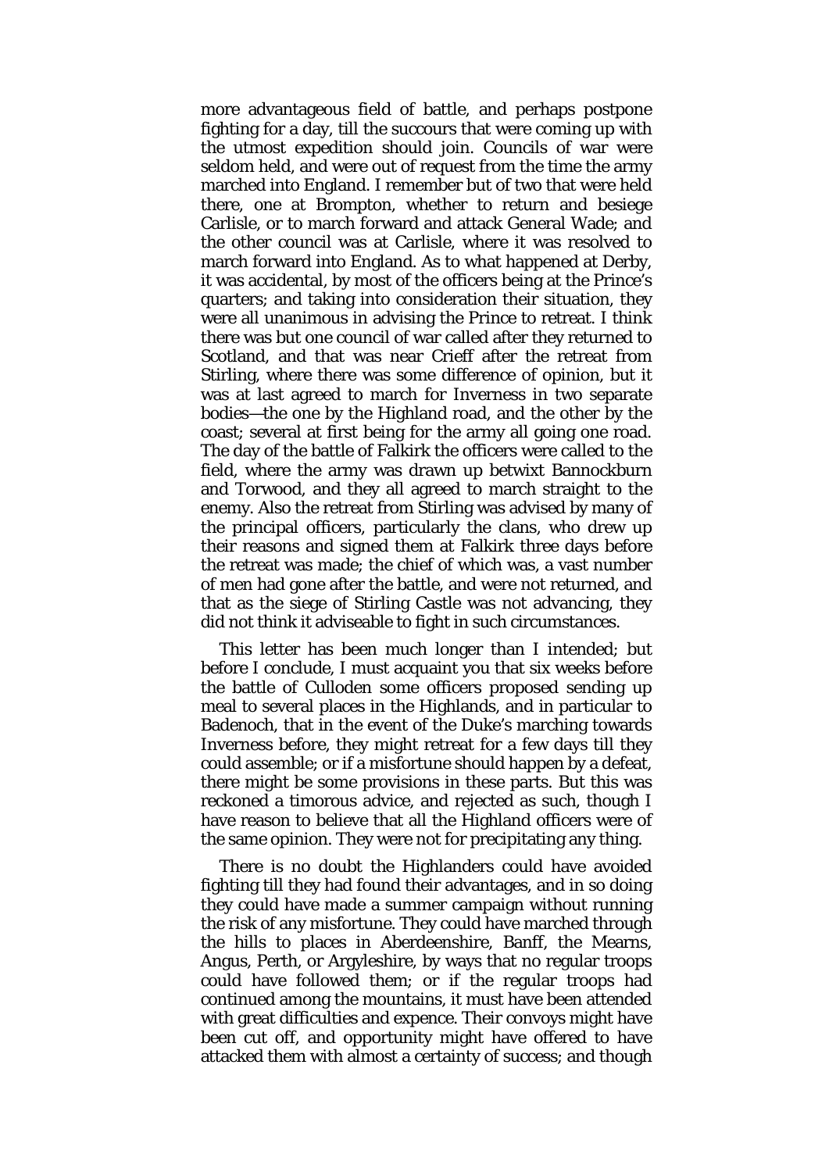more advantageous field of battle, and perhaps postpone fighting for a day, till the succours that were coming up with the utmost expedition should join. Councils of war were seldom held, and were out of request from the time the army marched into England. I remember but of two that were held there, one at Brompton, whether to return and besiege Carlisle, or to march forward and attack General Wade; and the other council was at Carlisle, where it was resolved to march forward into England. As to what happened at Derby, it was accidental, by most of the officers being at the Prince's quarters; and taking into consideration their situation, they were all unanimous in advising the Prince to retreat. I think there was but one council of war called after they returned to Scotland, and that was near Crieff after the retreat from Stirling, where there was some difference of opinion, but it was at last agreed to march for Inverness in two separate bodies—the one by the Highland road, and the other by the coast; several at first being for the army all going one road. The day of the battle of Falkirk the officers were called to the field, where the army was drawn up betwixt Bannockburn and Torwood, and they all agreed to march straight to the enemy. Also the retreat from Stirling was advised by many of the principal officers, particularly the clans, who drew up their reasons and signed them at Falkirk three days before the retreat was made; the chief of which was, a vast number of men had gone after the battle, and were not returned, and that as the siege of Stirling Castle was not advancing, they did not think it adviseable to fight in such circumstances.

This letter has been much longer than I intended; but before I conclude, I must acquaint you that six weeks before the battle of Culloden some officers proposed sending up meal to several places in the Highlands, and in particular to Badenoch, that in the event of the Duke's marching towards Inverness before, they might retreat for a few days till they could assemble; or if a misfortune should happen by a defeat, there might be some provisions in these parts. But this was reckoned a timorous advice, and rejected as such, though I have reason to believe that all the Highland officers were of the same opinion. They were not for precipitating any thing.

There is no doubt the Highlanders could have avoided fighting till they had found their advantages, and in so doing they could have made a summer campaign without running the risk of any misfortune. They could have marched through the hills to places in Aberdeenshire, Banff, the Mearns, Angus, Perth, or Argyleshire, by ways that no regular troops could have followed them; or if the regular troops had continued among the mountains, it must have been attended with great difficulties and expence. Their convoys might have been cut off, and opportunity might have offered to have attacked them with almost a certainty of success; and though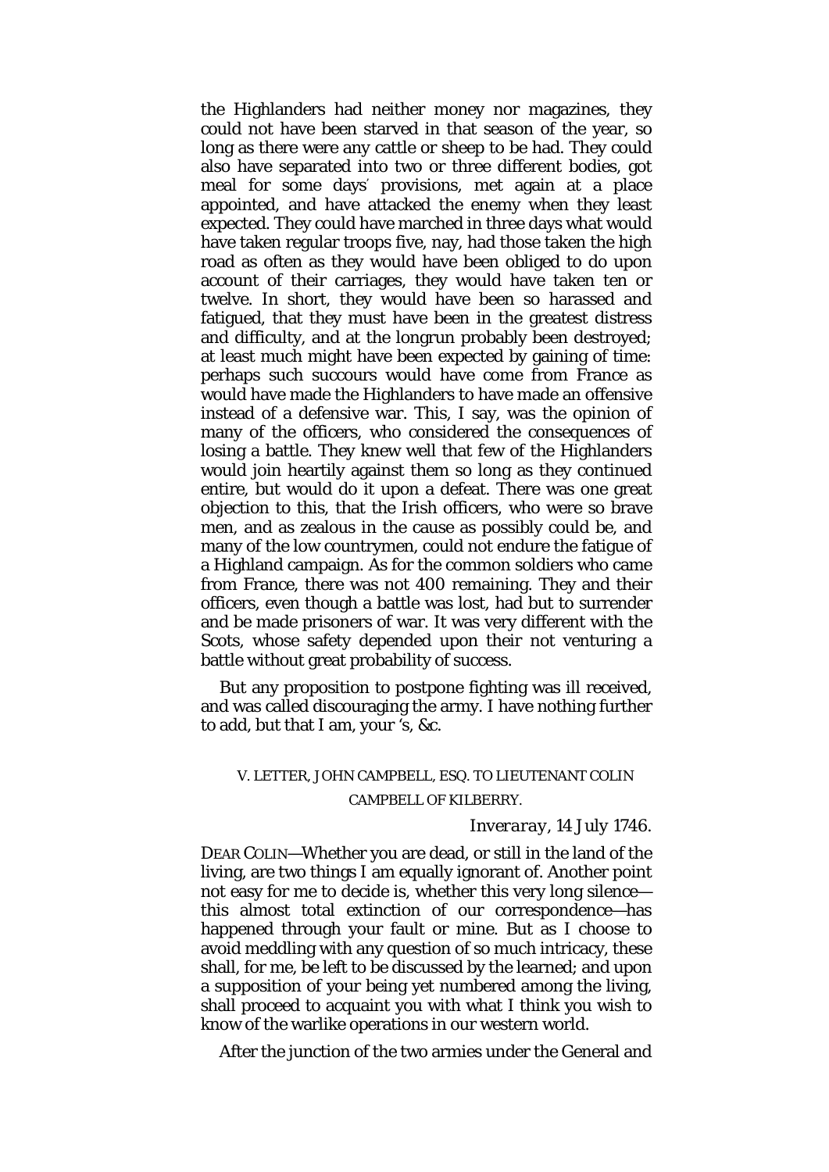the Highlanders had neither money nor magazines, they could not have been starved in that season of the year, so long as there were any cattle or sheep to be had. They could also have separated into two or three different bodies, got meal for some days' provisions, met again at a place appointed, and have attacked the enemy when they least expected. They could have marched in three days what would have taken regular troops five, nay, had those taken the high road as often as they would have been obliged to do upon account of their carriages, they would have taken ten or twelve. In short, they would have been so harassed and fatigued, that they must have been in the greatest distress and difficulty, and at the longrun probably been destroyed; at least much might have been expected by gaining of time: perhaps such succours would have come from France as would have made the Highlanders to have made an offensive instead of a defensive war. This, I say, was the opinion of many of the officers, who considered the consequences of losing a battle. They knew well that few of the Highlanders would join heartily against them so long as they continued entire, but would do it upon a defeat. There was one great objection to this, that the Irish officers, who were so brave men, and as zealous in the cause as possibly could be, and many of the low countrymen, could not endure the fatigue of a Highland campaign. As for the common soldiers who came from France, there was not 400 remaining. They and their officers, even though a battle was lost, had but to surrender and be made prisoners of war. It was very different with the Scots, whose safety depended upon their not venturing a battle without great probability of success.

But any proposition to postpone fighting was ill received, and was called discouraging the army. I have nothing further to add, but that I am, your 's, &c.

## V. LETTER, JOHN CAMPBELL, ESQ. TO LIEUTENANT COLIN CAMPBELL OF KILBERRY.

#### *Inveraray,* 14 *July* 1746.

DEAR COLIN—Whether you are dead, or still in the land of the living, are two things I am equally ignorant of. Another point not easy for me to decide is, whether this very long silence this almost total extinction of our correspondence—has happened through your fault or mine. But as I choose to avoid meddling with any question of so much intricacy, these shall, for me, be left to be discussed by the learned; and upon a supposition of your being yet numbered among the living, shall proceed to acquaint you with what I think you wish to know of the warlike operations in our western world.

After the junction of the two armies under the General and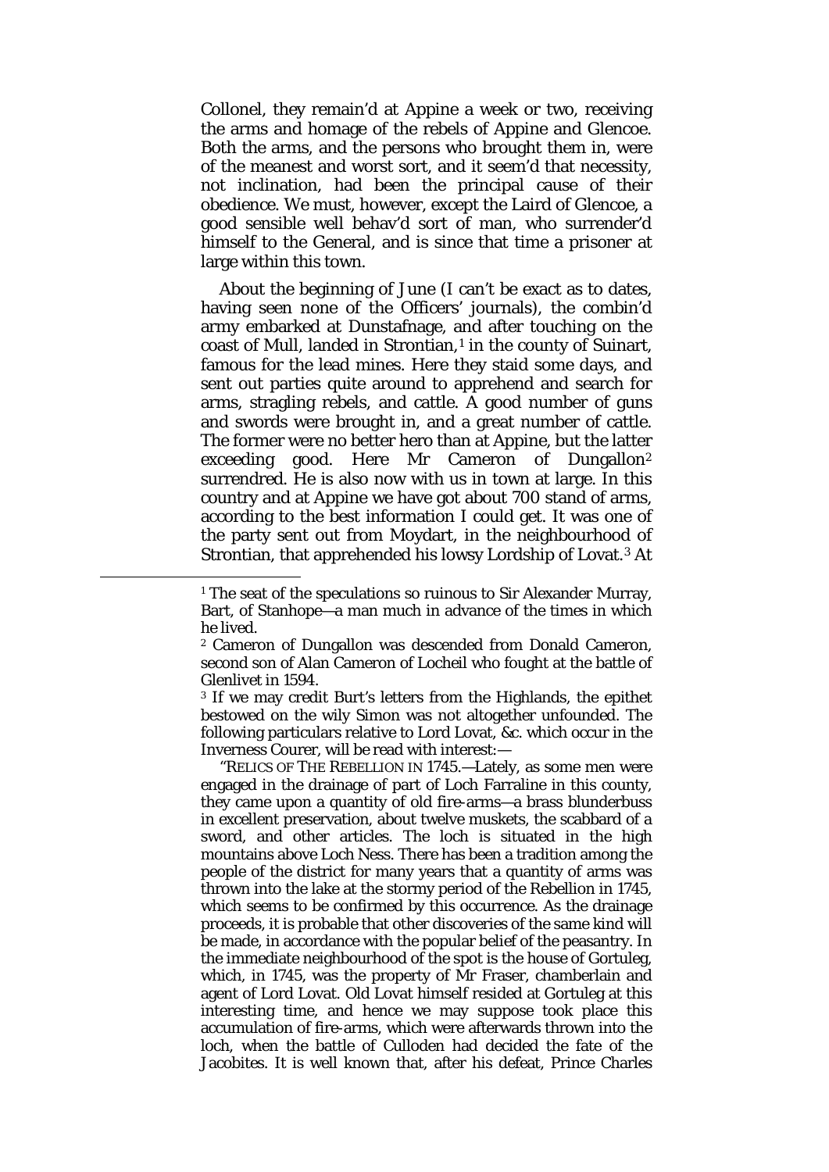Collonel, they remain'd at Appine a week or two, receiving the arms and homage of the rebels of Appine and Glencoe. Both the arms, and the persons who brought them in, were of the meanest and worst sort, and it seem'd that necessity, not inclination, had been the principal cause of their obedience. We must, however, except the Laird of Glencoe, a good sensible well behav'd sort of man, who surrender'd himself to the General, and is since that time a prisoner at large within this town.

About the beginning of June (I can't be exact as to dates, having seen none of the Officers' journals), the combin'd army embarked at Dunstafnage, and after touching on the coast of Mull, landed in Strontian,<sup>[1](#page-25-0)</sup> in the county of Suinart, famous for the lead mines. Here they staid some days, and sent out parties quite around to apprehend and search for arms, stragling rebels, and cattle. A good number of guns and swords were brought in, and a great number of cattle. The former were no better hero than at Appine, but the latter exceeding good. Here Mr Cameron of Dungallon[2](#page-25-1) surrendred. He is also now with us in town at large. In this country and at Appine we have got about 700 stand of arms, according to the best information I could get. It was one of the party sent out from Moydart, in the neighbourhood of Strontian, that apprehended his lowsy Lordship of Lovat.[3](#page-25-2) At

<span id="page-25-2"></span><span id="page-25-1"></span><span id="page-25-0"></span> $\overline{\phantom{a}}$ 

<sup>3</sup> If we may credit Burt's letters from the Highlands, the epithet bestowed on the wily Simon was not altogether unfounded. The following particulars relative to Lord Lovat, &c. which occur in the Inverness Courer, will be read with interest:—

"RELICS OF THE REBELLION IN 1745.—Lately, as some men were engaged in the drainage of part of Loch Farraline in this county, they came upon a quantity of old fire-arms—a brass blunderbuss in excellent preservation, about twelve muskets, the scabbard of a sword, and other articles. The loch is situated in the high mountains above Loch Ness. There has been a tradition among the people of the district for many years that a quantity of arms was thrown into the lake at the stormy period of the Rebellion in 1745, which seems to be confirmed by this occurrence. As the drainage proceeds, it is probable that other discoveries of the same kind will be made, in accordance with the popular belief of the peasantry. In the immediate neighbourhood of the spot is the house of Gortuleg, which, in 1745, was the property of Mr Fraser, chamberlain and agent of Lord Lovat. Old Lovat himself resided at Gortuleg at this interesting time, and hence we may suppose took place this accumulation of fire-arms, which were afterwards thrown into the loch, when the battle of Culloden had decided the fate of the Jacobites. It is well known that, after his defeat, Prince Charles

<sup>&</sup>lt;sup>1</sup> The seat of the speculations so ruinous to Sir Alexander Murray, Bart, of Stanhope—a man much in advance of the times in which he lived.

<sup>2</sup> Cameron of Dungallon was descended from Donald Cameron, second son of Alan Cameron of Locheil who fought at the battle of Glenlivet in 1594.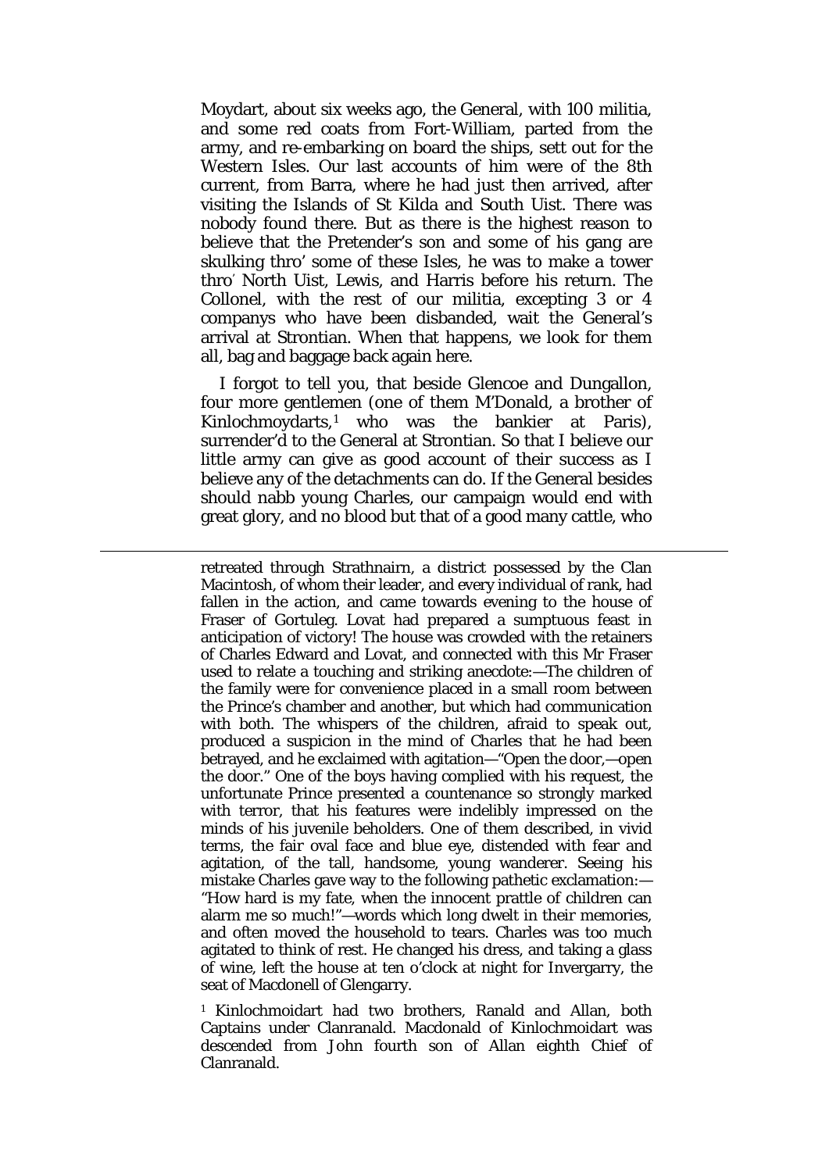Moydart, about six weeks ago, the General, with 100 militia, and some red coats from Fort-William, parted from the army, and re-embarking on board the ships, sett out for the Western Isles. Our last accounts of him were of the 8th current, from Barra, where he had just then arrived, after visiting the Islands of St Kilda and South Uist. There was nobody found there. But as there is the highest reason to believe that the Pretender's son and some of his gang are skulking thro' some of these Isles, he was to make a tower thro' North Uist, Lewis, and Harris before his return. The Collonel, with the rest of our militia, excepting 3 or 4 companys who have been disbanded, wait the General's arrival at Strontian. When that happens, we look for them all, bag and baggage back again here.

I forgot to tell you, that beside Glencoe and Dungallon, four more gentlemen (one of them M'Donald, a brother of Kinlochmoydarts,[1](#page-26-0) who was the bankier at Paris), surrender'd to the General at Strontian. So that I believe our little army can give as good account of their success as I believe any of the detachments can do. If the General besides should nabb young Charles, our campaign would end with great glory, and no blood but that of a good many cattle, who

**.** 

retreated through Strathnairn, a district possessed by the Clan Macintosh, of whom their leader, and every individual of rank, had fallen in the action, and came towards evening to the house of Fraser of Gortuleg. Lovat had prepared a sumptuous feast in anticipation of victory! The house was crowded with the retainers of Charles Edward and Lovat, and connected with this Mr Fraser used to relate a touching and striking anecdote:—The children of the family were for convenience placed in a small room between the Prince's chamber and another, but which had communication with both. The whispers of the children, afraid to speak out, produced a suspicion in the mind of Charles that he had been betrayed, and he exclaimed with agitation—"Open the door,—open the door." One of the boys having complied with his request, the unfortunate Prince presented a countenance so strongly marked with terror, that his features were indelibly impressed on the minds of his juvenile beholders. One of them described, in vivid terms, the fair oval face and blue eye, distended with fear and agitation, of the tall, handsome, young wanderer. Seeing his mistake Charles gave way to the following pathetic exclamation:— "How hard is my fate, when the innocent prattle of children can alarm me so much!"—words which long dwelt in their memories, and often moved the household to tears. Charles was too much agitated to think of rest. He changed his dress, and taking a glass of wine, left the house at ten o'clock at night for Invergarry, the seat of Macdonell of Glengarry.

<span id="page-26-0"></span><sup>1</sup> Kinlochmoidart had two brothers, Ranald and Allan, both Captains under Clanranald. Macdonald of Kinlochmoidart was descended from John fourth son of Allan eighth Chief of Clanranald.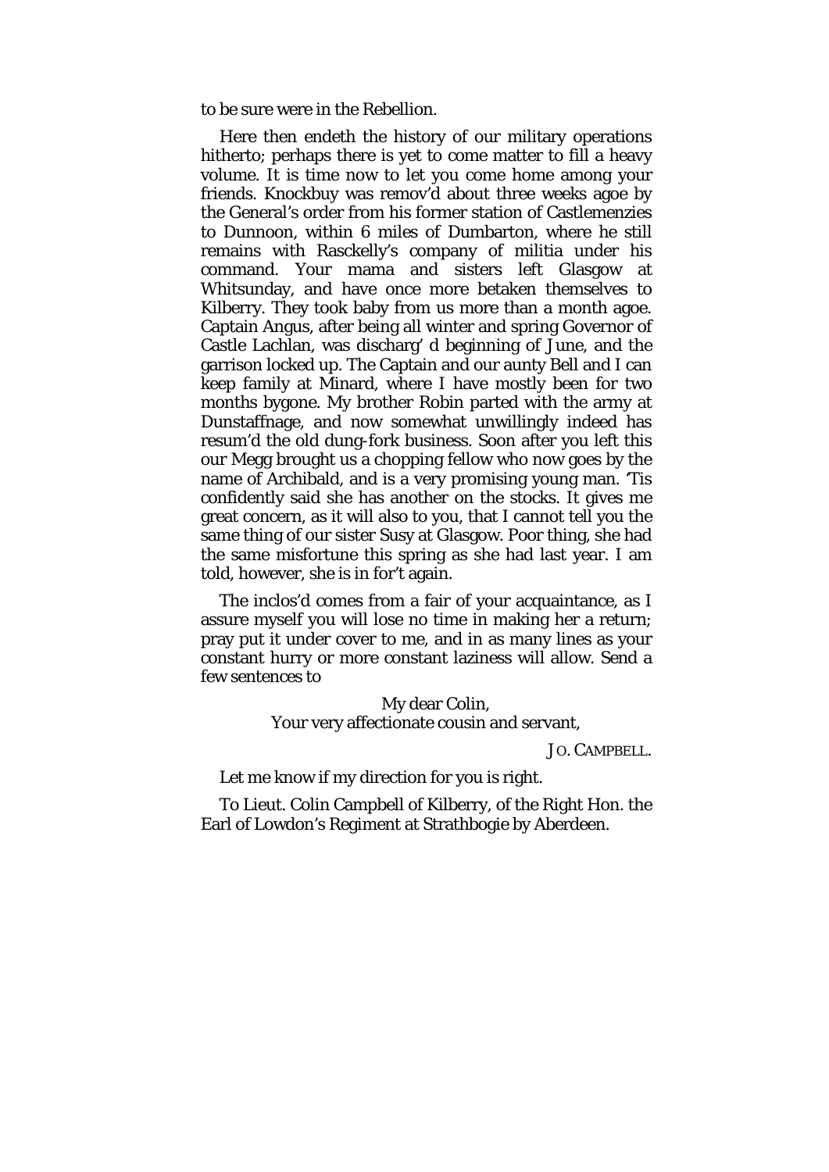to be sure were in the Rebellion.

Here then endeth the history of our military operations hitherto; perhaps there is yet to come matter to fill a heavy volume. It is time now to let you come home among your friends. Knockbuy was remov'd about three weeks agoe by the General's order from his former station of Castlemenzies to Dunnoon, within 6 miles of Dumbarton, where he still remains with Rasckelly's company of militia under his command. Your mama and sisters left Glasgow at Whitsunday, and have once more betaken themselves to Kilberry. They took baby from us more than a month agoe. Captain Angus, after being all winter and spring Governor of Castle Lachlan, was discharg' d beginning of June, and the garrison locked up. The Captain and our aunty Bell and I can keep family at Minard, where I have mostly been for two months bygone. My brother Robin parted with the army at Dunstaffnage, and now somewhat unwillingly indeed has resum'd the old dung-fork business. Soon after you left this our Megg brought us a chopping fellow who now goes by the name of Archibald, and is a very promising young man. 'Tis confidently said she has another on the stocks. It gives me great concern, as it will also to you, that I cannot tell you the same thing of our sister Susy at Glasgow. Poor thing, she had the same misfortune this spring as she had last year. I am told, however, she is in for't again.

The inclos'd comes from a fair of your acquaintance, as I assure myself you will lose no time in making her a return; pray put it under cover to me, and in as many lines as your constant hurry or more constant laziness will allow. Send a few sentences to

> My dear Colin, Your very affectionate cousin and servant,

> > JO. CAMPBELL.

Let me know if my direction for you is right.

To Lieut. Colin Campbell of Kilberry, of the Right Hon. the Earl of Lowdon's Regiment at Strathbogie by Aberdeen.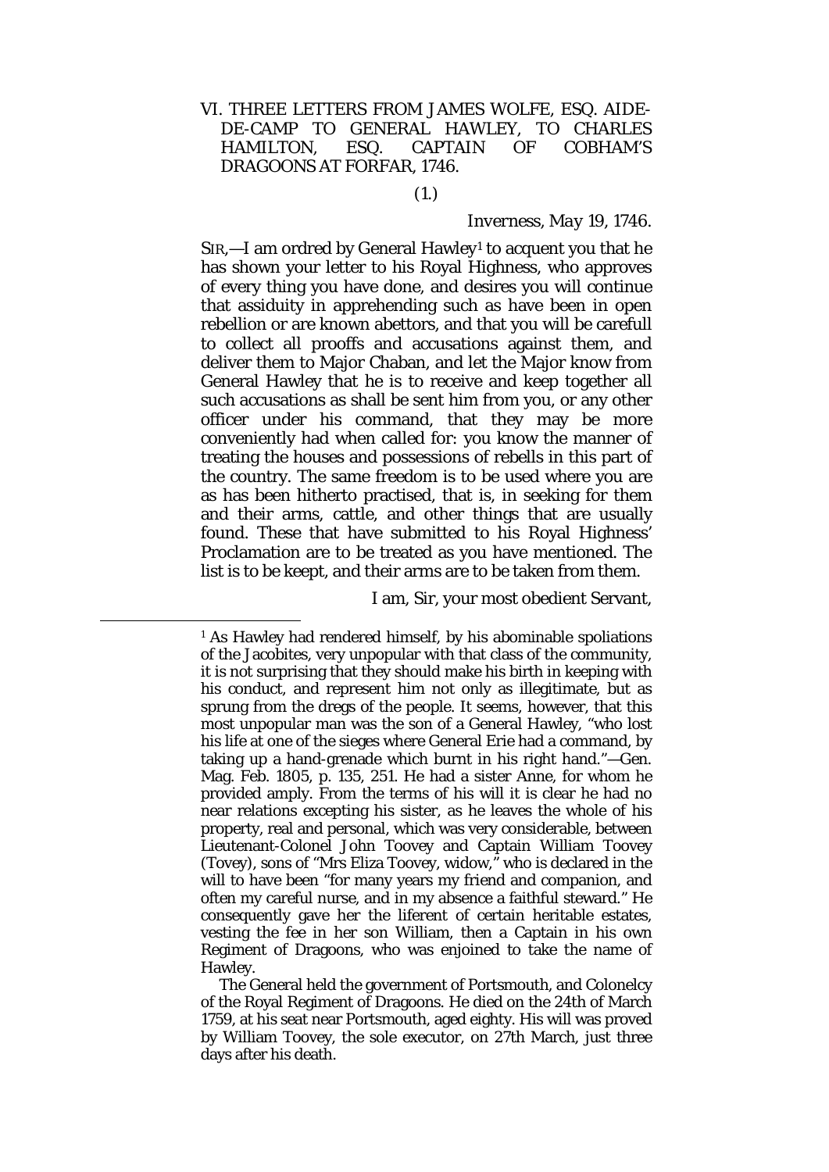### VI. THREE LETTERS FROM JAMES WOLFE, ESQ. AIDE-DE-CAMP TO GENERAL HAWLEY, TO CHARLES HAMILTON, ESQ. CAPTAIN OF COBHAM'S DRAGOONS AT FORFAR, 1746.

#### (1.)

#### *Inverness, May* 19, 1746.

 $SIR$ ,  $-$ I am ordred by General Hawley<sup>[1](#page-28-0)</sup> to acquent you that he has shown your letter to his Royal Highness, who approves of every thing you have done, and desires you will continue that assiduity in apprehending such as have been in open rebellion or are known abettors, and that you will be carefull to collect all prooffs and accusations against them, and deliver them to Major Chaban, and let the Major know from General Hawley that he is to receive and keep together all such accusations as shall be sent him from you, or any other officer under his command, that they may be more conveniently had when called for: you know the manner of treating the houses and possessions of rebells in this part of the country. The same freedom is to be used where you are as has been hitherto practised, that is, in seeking for them and their arms, cattle, and other things that are usually found. These that have submitted to his Royal Highness' Proclamation are to be treated as you have mentioned. The list is to be keept, and their arms are to be taken from them.

I am, Sir, your most obedient Servant,

<span id="page-28-0"></span><sup>&</sup>lt;sup>1</sup> As Hawley had rendered himself, by his abominable spoliations of the Jacobites, very unpopular with that class of the community, it is not surprising that they should make his birth in keeping with his conduct, and represent him not only as illegitimate, but as sprung from the dregs of the people. It seems, however, that this most unpopular man was the son of a General Hawley, "who lost his life at one of the sieges where General Erie had a command, by taking up a hand-grenade which burnt in his right hand."—Gen. Mag. Feb. 1805, p. 135, 251. He had a sister Anne, for whom he provided amply. From the terms of his will it is clear he had no near relations excepting his sister, as he leaves the whole of his property, real and personal, which was very considerable, between Lieutenant-Colonel John Toovey and Captain William Toovey (Tovey), sons of "Mrs Eliza Toovey, widow," who is declared in the will to have been "for many years my friend and companion, and often my careful nurse, and in my absence a faithful steward." He consequently gave her the liferent of certain heritable estates, vesting the fee in her son William, then a Captain in his own Regiment of Dragoons, who was enjoined to take the name of Hawley.

The General held the government of Portsmouth, and Colonelcy of the Royal Regiment of Dragoons. He died on the 24th of March 1759, at his seat near Portsmouth, aged eighty. His will was proved by William Toovey, the sole executor, on 27th March, just three days after his death.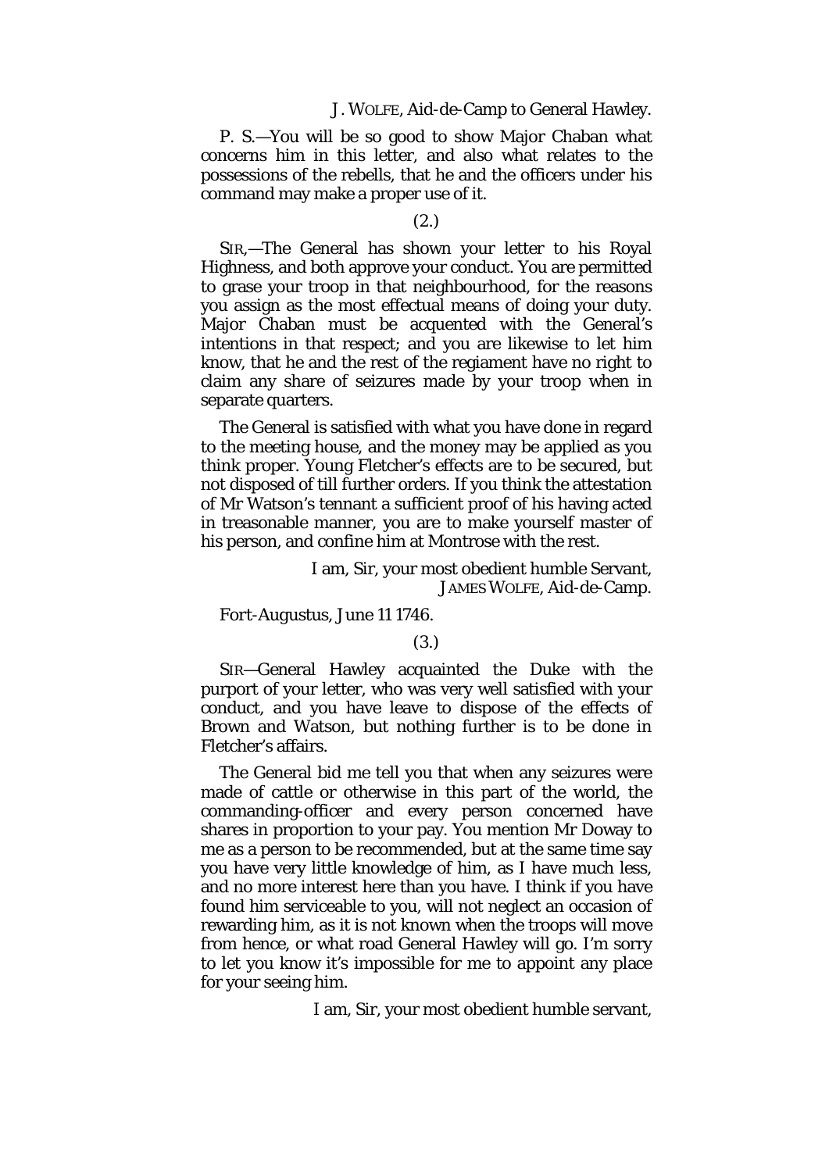#### J. WOLFE, Aid-de-Camp to General Hawley.

*P. S.*—You will be so good to show Major Chaban what concerns him in this letter, and also what relates to the possessions of the rebells, that he and the officers under his command may make a proper use of it.

#### (2.)

SIR,—The General has shown your letter to his Royal Highness, and both approve your conduct. You are permitted to grase your troop in that neighbourhood, for the reasons you assign as the most effectual means of doing your duty. Major Chaban must be acquented with the General's intentions in that respect; and you are likewise to let him know, that he and the rest of the regiament have no right to claim any share of seizures made by your troop when in separate quarters.

The General is satisfied with what you have done in regard to the meeting house, and the money may be applied as you think proper. Young Fletcher's effects are to be secured, but not disposed of till further orders. If you think the attestation of Mr Watson's tennant a sufficient proof of his having acted in treasonable manner, you are to make yourself master of his person, and confine him at Montrose with the rest.

> I am, Sir, your most obedient humble Servant, JAMES WOLFE, Aid-de-Camp.

*Fort-Augustus, June* 11 1746.

#### (3.)

SIR—General Hawley acquainted the Duke with the purport of your letter, who was very well satisfied with your conduct, and you have leave to dispose of the effects of Brown and Watson, but nothing further is to be done in Fletcher's affairs.

The General bid me tell you that when any seizures were made of cattle or otherwise in this part of the world, the commanding-officer and every person concerned have shares in proportion to your pay. You mention Mr Doway to me as a person to be recommended, but at the same time say you have very little knowledge of him, as I have much less, and no more interest here than you have. I think if you have found him serviceable to you, will not neglect an occasion of rewarding him, as it is not known when the troops will move from hence, or what road General Hawley will go. I'm sorry to let you know it's impossible for me to appoint any place for your seeing him.

I am, Sir, your most obedient humble servant,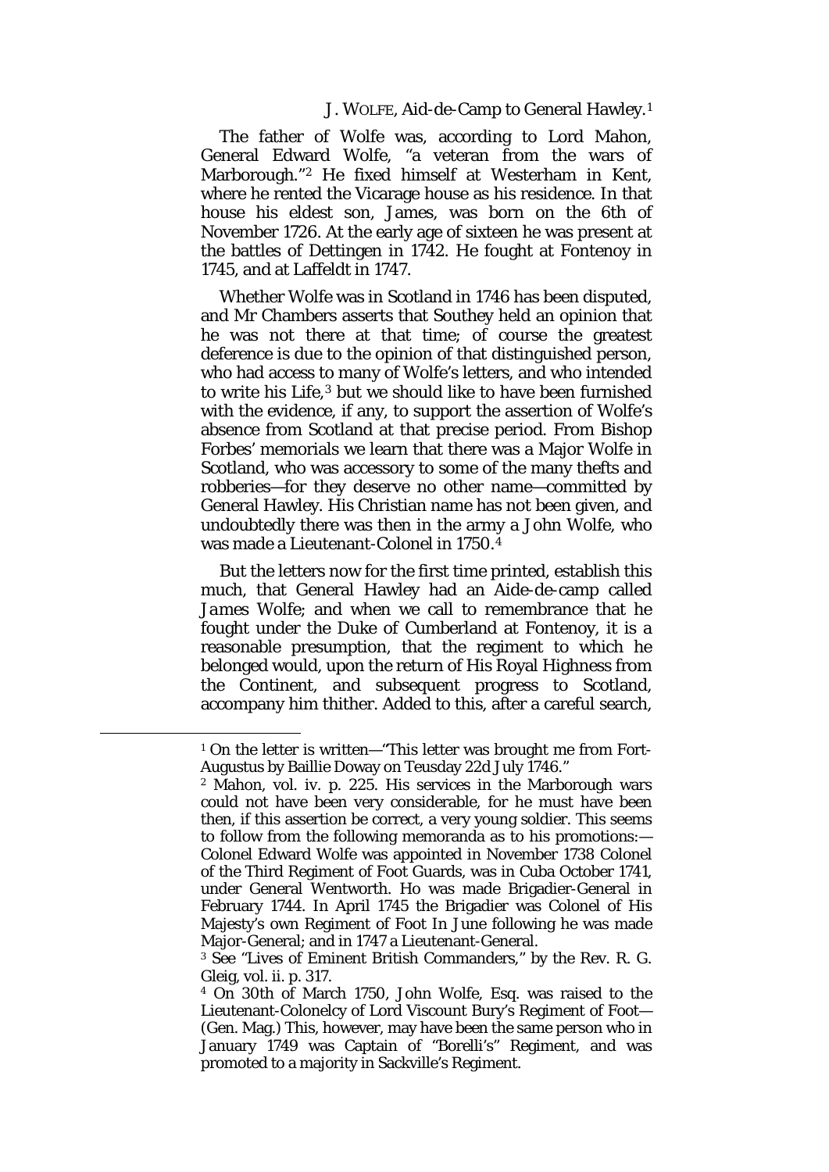J. WOLFE, Aid-de-Camp to General Hawley.[1](#page-30-0)

The father of Wolfe was, according to Lord Mahon, General Edward Wolfe, "a veteran from the wars of Marborough."[2](#page-30-1) He fixed himself at Westerham in Kent, where he rented the Vicarage house as his residence. In that house his eldest son, James, was born on the 6th of November 1726. At the early age of sixteen he was present at the battles of Dettingen in 1742. He fought at Fontenoy in 1745, and at Laffeldt in 1747.

Whether Wolfe was in Scotland in 1746 has been disputed, and Mr Chambers asserts that Southey held an opinion that he was *not* there at that time; of course the greatest deference is due to the opinion of that distinguished person, who had access to many of Wolfe's letters, and who intended to write his Life,[3](#page-30-2) but we should like to have been furnished with the evidence, if any, to support the assertion of Wolfe's absence from Scotland at that precise period. From Bishop Forbes' memorials we learn that there was a Major Wolfe in Scotland, who was accessory to some of the many thefts and robberies—for they deserve no other name—committed by General Hawley. His Christian name has not been given, and undoubtedly there was then in the army a *John* Wolfe, who was made a Lieutenant-Colonel in 1750.[4](#page-30-3)

But the letters now for the first time printed, establish this much, that General Hawley had an Aide-de-camp called *James* Wolfe; and when we call to remembrance that he fought under the Duke of Cumberland at Fontenoy, it is a reasonable presumption, that the regiment to which he belonged would, upon the return of His Royal Highness from the Continent, and subsequent progress to Scotland, accompany him thither. Added to this, after a careful search,

<span id="page-30-0"></span><sup>1</sup> On the letter is written—"This letter was brought me from Fort-Augustus by Baillie Doway on Teusday 22d July 1746."

<span id="page-30-1"></span><sup>2</sup> Mahon, vol. iv. p. 225. His services in the Marborough wars could not have been very considerable, for he must have been then, if this assertion be correct, a very young soldier. This seems to follow from the following memoranda as to his promotions:— Colonel Edward Wolfe was appointed in November 1738 Colonel of the Third Regiment of Foot Guards, was in Cuba October 1741, under General Wentworth. Ho was made Brigadier-General in February 1744. In April 1745 the Brigadier was Colonel of His Majesty's own Regiment of Foot In June following he was made Major-General; and in 1747 a Lieutenant-General.

<span id="page-30-2"></span><sup>3</sup> See "Lives of Eminent British Commanders," by the Rev. R. G. Gleig, vol. ii. p. 317.

<span id="page-30-3"></span><sup>4</sup> On 30th of March 1750, John Wolfe, Esq. was raised to the Lieutenant-Colonelcy of Lord Viscount Bury's Regiment of Foot— (Gen. Mag.) This, however, may have been the same person who in January 1749 was Captain of "Borelli's" Regiment, and was promoted to a majority in Sackville's Regiment.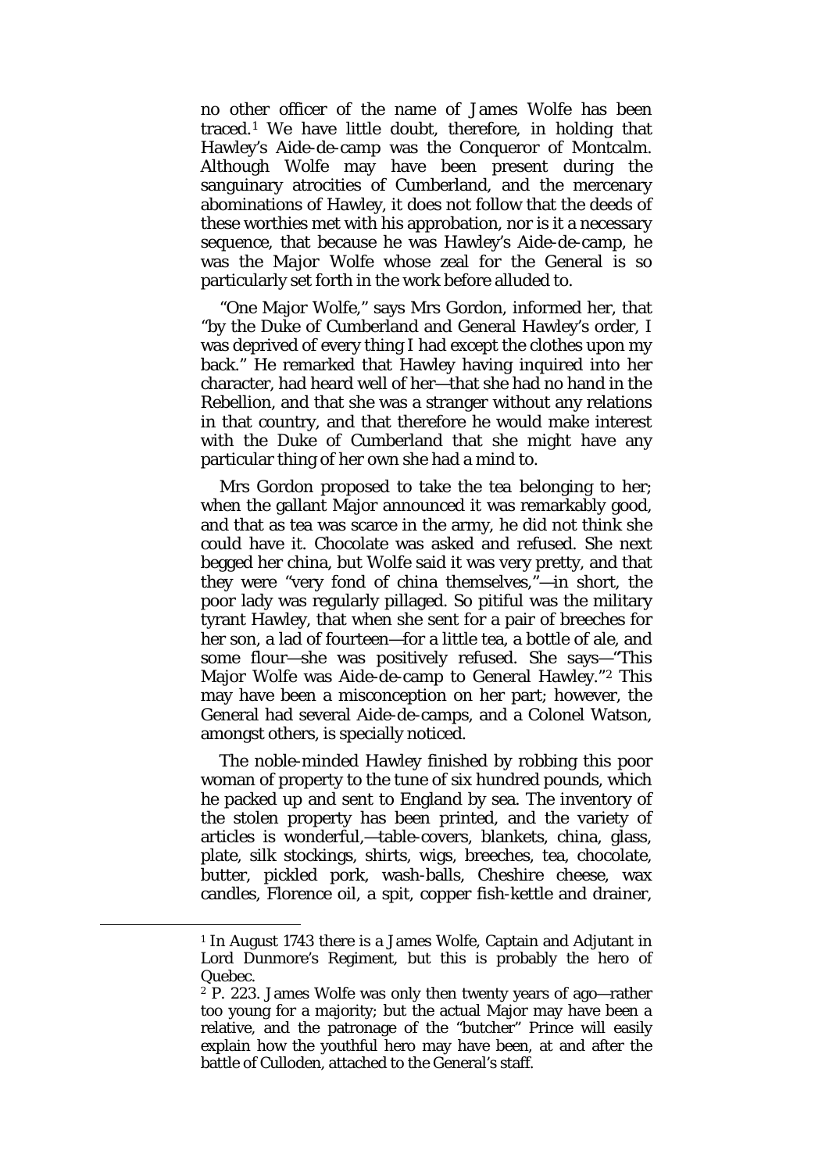no other officer of the name of James Wolfe has been traced.[1](#page-31-0) We have little doubt, therefore, in holding that Hawley's Aide-de-camp was the Conqueror of Montcalm. Although Wolfe may have been present during the sanguinary atrocities of Cumberland, and the mercenary abominations of Hawley, it does not follow that the deeds of these worthies met with his approbation, nor is it a necessary sequence, that because he was Hawley's Aide-de-camp, he was the *Major* Wolfe whose zeal for the General is so particularly set forth in the work before alluded to.

"*One* Major Wolfe," says Mrs Gordon, informed her, that "by the Duke of Cumberland and General Hawley's order, I was deprived of every thing I had except the clothes upon my back." He remarked that Hawley having inquired into her character, had heard well of her—that she had no hand in the Rebellion, and that she was a stranger without any relations in that country, and that therefore he would make interest with the Duke of Cumberland that she might have any particular thing of her own she had a mind to.

Mrs Gordon proposed to take the *tea* belonging to her; when the gallant Major announced it was remarkably good, and that as tea was scarce in the army, he did not think she could have it. Chocolate was asked and refused. She next begged her china, but Wolfe said it was very pretty, and that they were "very fond of china themselves,"—in short, the poor lady was regularly pillaged. So pitiful was the military tyrant Hawley, that when she sent for a pair of breeches for her son, a lad of fourteen—for a little tea, a bottle of ale, and some flour—she was positively refused. She says—"This Major Wolfe was Aide-de-camp to General Hawley."[2](#page-31-1) This may have been a misconception on her part; however, the General had several Aide-de-camps, and a Colonel Watson, amongst others, is specially noticed.

The noble-minded Hawley finished by robbing this poor woman of property to the tune of six hundred pounds, which he packed up and sent to England by sea. The inventory of the stolen property has been printed, and the variety of articles is wonderful,—table-covers, blankets, china, glass, plate, silk stockings, shirts, wigs, breeches, tea, chocolate, butter, pickled pork, wash-balls, Cheshire cheese, wax candles, Florence oil, a spit, copper fish-kettle and drainer,

<span id="page-31-0"></span><sup>1</sup> In August 1743 there is a James Wolfe, Captain and Adjutant in Lord Dunmore's Regiment, but this is probably the hero of Quebec.

<span id="page-31-1"></span><sup>2</sup> P. 223. James Wolfe was only then twenty years of ago—rather too young for a majority; but the actual Major may have been a relative, and the patronage of the "butcher" Prince will easily explain how the youthful hero may have been, at and after the battle of Culloden, attached to the General's staff.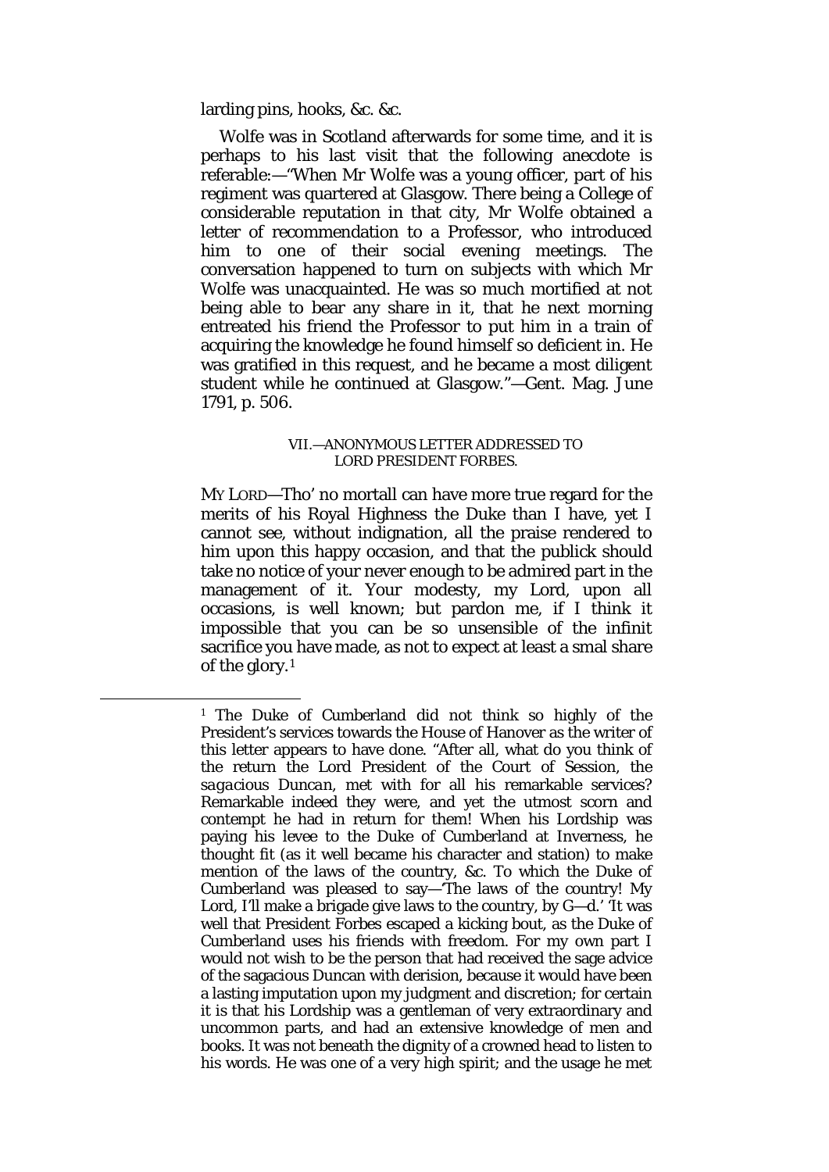larding pins, hooks, &c. &c.

<span id="page-32-0"></span>**.** 

Wolfe was in Scotland afterwards for some time, and it is perhaps to his last visit that the following anecdote is referable:—"When Mr Wolfe was a young officer, part of his regiment was quartered at Glasgow. There being a College of considerable reputation in that city, Mr Wolfe obtained a letter of recommendation to a Professor, who introduced him to one of their social evening meetings. The conversation happened to turn on subjects with which Mr Wolfe was unacquainted. He was so much mortified at not being able to bear any share in it, that he next morning entreated his friend the Professor to put him in a train of acquiring the knowledge he found himself so deficient in. He was gratified in this request, and he became a most diligent student while he continued at Glasgow."—Gent. Mag. June 1791, p. 506.

#### VII.—ANONYMOUS LETTER ADDRESSED TO LORD PRESIDENT FORBES.

MY LORD—Tho' no mortall can have more true regard for the merits of his Royal Highness the Duke than I have, yet I cannot see, without indignation, all the praise rendered to him upon this happy occasion, and that the publick should take no notice of your never enough to be admired part in the management of it. Your modesty, my Lord, upon all occasions, is well known; but pardon me, if I think it impossible that you can be so unsensible of the infinit sacrifice you have made, as not to expect at least a smal share of the glory.[1](#page-32-0)

<sup>1</sup> The Duke of Cumberland did not think so highly of the President's services towards the House of Hanover as the writer of this letter appears to have done. "After all, what do you think of the return the Lord President of the Court of Session, the *sagacious Duncan,* met with for all his remarkable services? Remarkable indeed they were, and yet the utmost scorn and contempt he had in return for them! When his Lordship was paying his levee to the Duke of Cumberland at Inverness, he thought fit (as it well became his character and station) to make mention of the laws of the country, &c. To which the Duke of Cumberland was pleased to say—'The laws of the country! My Lord, I'll make a brigade give laws to the country, by G—d.' 'It was well that President Forbes escaped a kicking bout, as the Duke of Cumberland uses his friends with freedom. For my own part I would not wish to be the person that had received the sage advice of the sagacious Duncan with derision, because it would have been a lasting imputation upon my judgment and discretion; for certain it is that his Lordship was a gentleman of very extraordinary and uncommon parts, and had an extensive knowledge of men and books. It was not beneath the dignity of a crowned head to listen to his words. He was one of a very high spirit; and the usage he met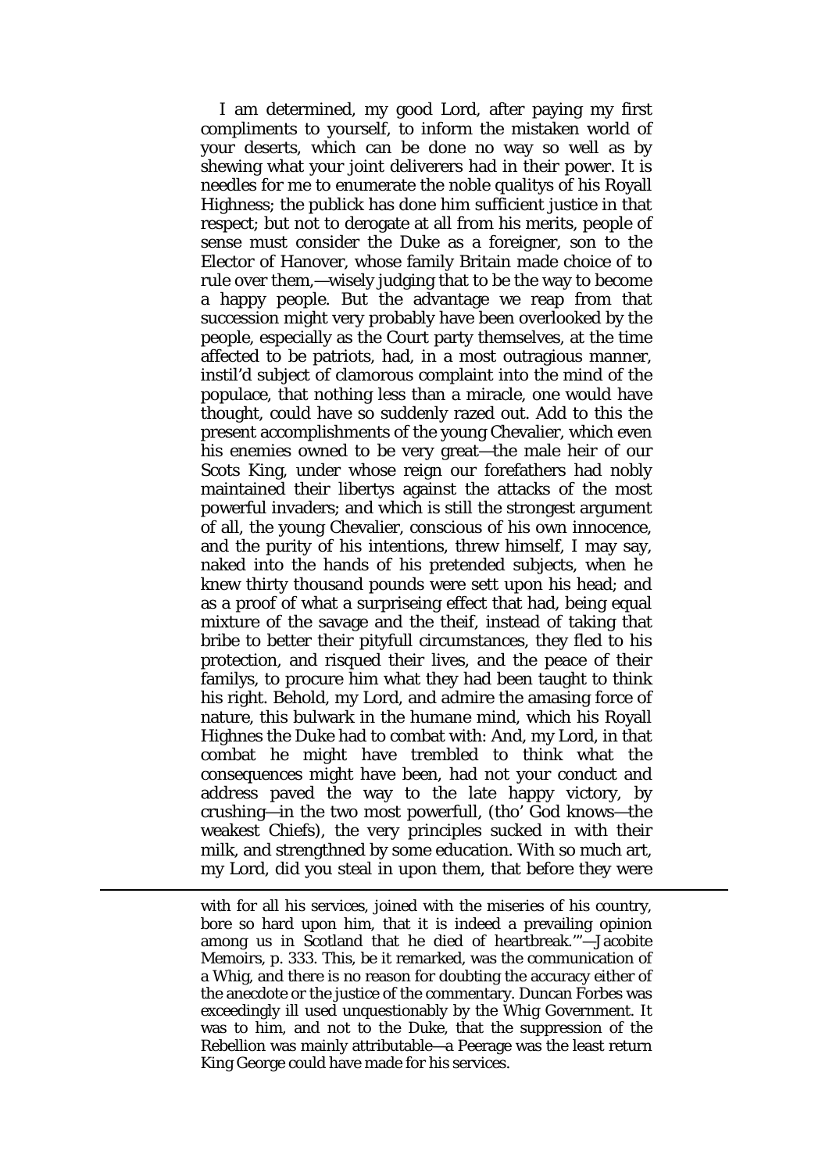I am determined, my good Lord, after paying my first compliments to yourself, to inform the mistaken world of your deserts, which can be done no way so well as by shewing what your joint deliverers had in their power. It is needles for me to enumerate the noble qualitys of his Royall Highness; the publick has done him sufficient justice in that respect; but not to derogate at all from his merits, people of sense must consider the Duke as a foreigner, son to the Elector of Hanover, whose family Britain made choice of to rule over them,—wisely judging that to be the way to become a happy people. But the advantage we reap from that succession might very probably have been overlooked by the people, especially as the Court party themselves, at the time affected to be patriots, had, in a most outragious manner, instil'd subject of clamorous complaint into the mind of the populace, that nothing less than a miracle, one would have thought, could have so suddenly razed out. Add to this the present accomplishments of the young Chevalier, which even his enemies owned to be very great—the male heir of our Scots King, under whose reign our forefathers had nobly maintained their libertys against the attacks of the most powerful invaders; and which is still the strongest argument of all, the young Chevalier, conscious of his own innocence, and the purity of his intentions, threw himself, I may say, naked into the hands of his pretended subjects, when he knew thirty thousand pounds were sett upon his head; and as a proof of what a surpriseing effect that had, being equal mixture of the savage and the theif, instead of taking that bribe to better their pityfull circumstances, they fled to his protection, and risqued their lives, and the peace of their familys, to procure him what they had been taught to think his right. Behold, my Lord, and admire the amasing force of nature, this bulwark in the humane mind, which his Royall Highnes the Duke had to combat with: And, my Lord, in that combat he might have trembled to think what the consequences might have been, had not your conduct and address paved the way to the late happy victory, by crushing—in the two most powerfull, (tho' God knows—the weakest Chiefs), the very principles sucked in with their milk, and strengthned by some education. With so much art, my Lord, did you steal in upon them, that before they were

with for all his services, joined with the miseries of his country, bore so hard upon him, that it is indeed a prevailing opinion among us in Scotland that he died of heartbreak.'"—Jacobite Memoirs, p. 333. This, be it remarked, was the communication of a Whig, and there is no reason for doubting the accuracy either of the anecdote or the justice of the commentary. Duncan Forbes was exceedingly ill used unquestionably by the Whig Government. It was to him, and not to the Duke, that the suppression of the Rebellion was mainly attributable—a Peerage was the least return King George could have made for his services.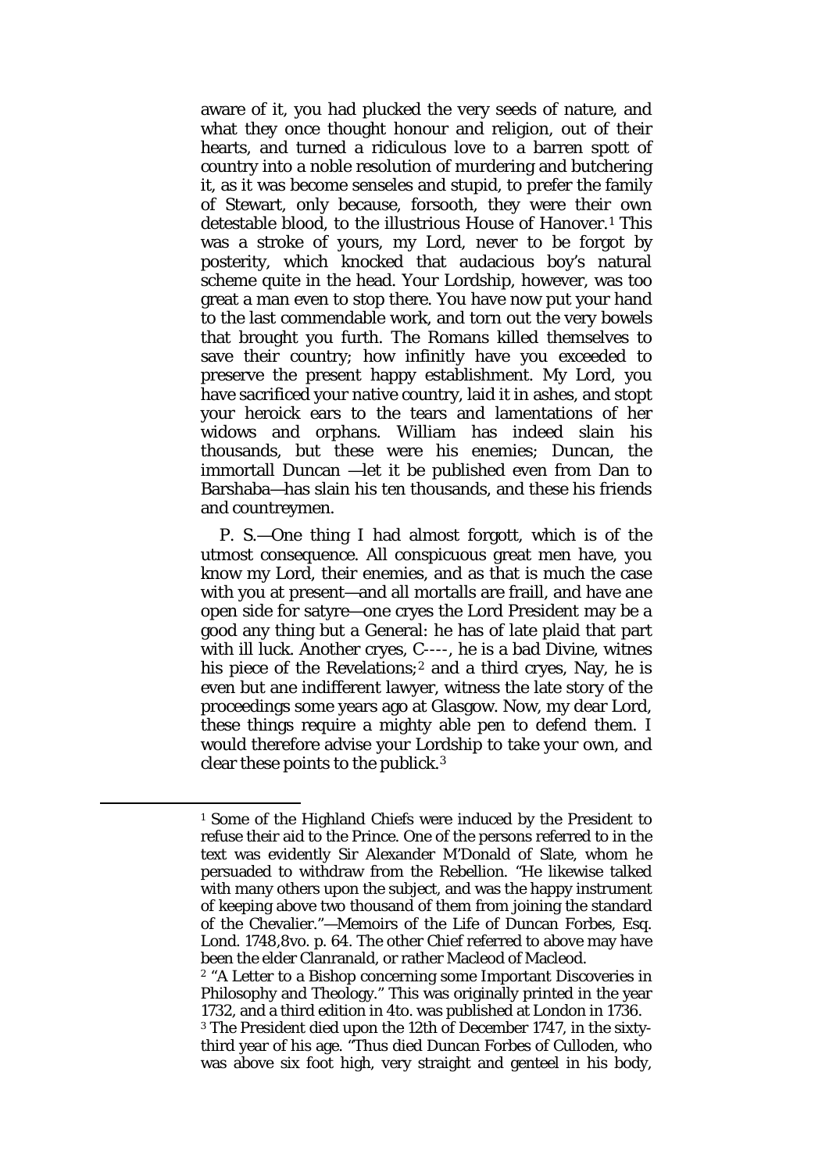aware of it, you had plucked the very seeds of nature, and what they once thought honour and religion, out of their hearts, and turned a ridiculous love to a barren spott of country into a noble resolution of murdering and butchering it, as it was become senseles and stupid, to prefer the family of Stewart, only because, forsooth, they were their own detestable blood, to the illustrious House of Hanover.[1](#page-34-0) This was a stroke of yours, my Lord, never to be forgot by posterity, which knocked that audacious boy's natural scheme quite in the head. Your Lordship, however, was too great a man even to stop there. You have now put your hand to the last commendable work, and torn out the very bowels that brought you furth. The Romans killed themselves to save their country; how infinitly have you exceeded to preserve the present happy establishment. My Lord, you have sacrificed your native country, laid it in ashes, and stopt your heroick ears to the tears and lamentations of her widows and orphans. William has indeed slain his thousands, but these were his enemies; Duncan, the immortall Duncan —let it be published even from Dan to Barshaba—has slain his ten thousands, and these his friends and countreymen.

P. S.—One thing I had almost forgott, which is of the utmost consequence. All conspicuous great men have, you know my Lord, their enemies, and as that is much the case with you at present—and all mortalls are fraill, and have ane open side for satyre—one cryes the Lord President may be a good any thing but a General: he has of late plaid that part with ill luck. Another cryes, C----, he is a bad Divine, witnes his piece of the Revelations; $2$  and a third cryes, Nay, he is even but ane indifferent lawyer, witness the late story of the proceedings some years ago at Glasgow. Now, my dear Lord, these things require a mighty able pen to defend them. I would therefore advise your Lordship to take your own, and clear these points to the publick.[3](#page-34-2)

<span id="page-34-0"></span>**.** 

<sup>1</sup> Some of the Highland Chiefs were induced by the President to refuse their aid to the Prince. One of the persons referred to in the text was evidently Sir Alexander M'Donald of Slate, whom he persuaded to withdraw from the Rebellion. "He likewise talked with many others upon the subject, and was the happy instrument of keeping above two thousand of them from joining the standard of the Chevalier."—Memoirs of the Life of Duncan Forbes, Esq. Lond. 1748,8vo. p. 64. The other Chief referred to above may have been the elder Clanranald, or rather Macleod of Macleod.

<span id="page-34-1"></span><sup>2</sup> "A Letter to a Bishop concerning some Important Discoveries in Philosophy and Theology." This was originally printed in the year 1732, and a third edition in 4to. was published at London in 1736.

<span id="page-34-2"></span><sup>3</sup> The President died upon the 12th of December 1747, in the sixtythird year of his age. "Thus died Duncan Forbes of Culloden, who was above six foot high, very straight and genteel in his body,